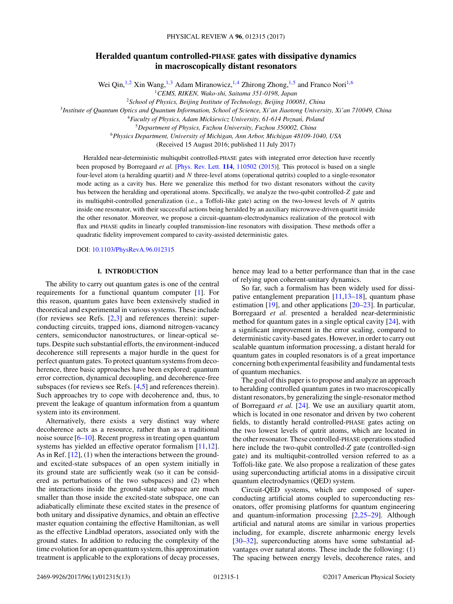# **Heralded quantum controlled-PHASE gates with dissipative dynamics in macroscopically distant resonators**

Wei Qin,<sup>1,2</sup> Xin Wang,<sup>1,3</sup> Adam Miranowicz,<sup>1,4</sup> Zhirong Zhong,<sup>1,5</sup> and Franco Nori<sup>1,6</sup>

<sup>1</sup>*CEMS, RIKEN, Wako-shi, Saitama 351-0198, Japan*

<sup>2</sup>*School of Physics, Beijing Institute of Technology, Beijing 100081, China*

<sup>3</sup>*Institute of Quantum Optics and Quantum Information, School of Science, Xi'an Jiaotong University, Xi'an 710049, China*

<sup>4</sup>*Faculty of Physics, Adam Mickiewicz University, 61-614 Poznan, Poland ´*

<sup>5</sup>*Department of Physics, Fuzhou University, Fuzhou 350002, China*

<sup>6</sup>*Physics Department, University of Michigan, Ann Arbor, Michigan 48109-1040, USA*

(Received 15 August 2016; published 11 July 2017)

Heralded near-deterministic multiqubit controlled-PHASE gates with integrated error detection have recently been proposed by Borregaard *et al.* [\[Phys. Rev. Lett.](https://doi.org/10.1103/PhysRevLett.114.110502) **[114](https://doi.org/10.1103/PhysRevLett.114.110502)**, [110502](https://doi.org/10.1103/PhysRevLett.114.110502) [\(2015\)](https://doi.org/10.1103/PhysRevLett.114.110502)]. This protocol is based on a single four-level atom (a heralding quartit) and *N* three-level atoms (operational qutrits) coupled to a single-resonator mode acting as a cavity bus. Here we generalize this method for two distant resonators without the cavity bus between the heralding and operational atoms. Specifically, we analyze the two-qubit controlled-*Z* gate and its multiqubit-controlled generalization (i.e., a Toffoli-like gate) acting on the two-lowest levels of *N* qutrits inside one resonator, with their successful actions being heralded by an auxiliary microwave-driven quartit inside the other resonator. Moreover, we propose a circuit-quantum-electrodynamics realization of the protocol with flux and PHASE qudits in linearly coupled transmission-line resonators with dissipation. These methods offer a quadratic fidelity improvement compared to cavity-assisted deterministic gates.

DOI: [10.1103/PhysRevA.96.012315](https://doi.org/10.1103/PhysRevA.96.012315)

### **I. INTRODUCTION**

The ability to carry out quantum gates is one of the central requirements for a functional quantum computer [\[1\]](#page-10-0). For this reason, quantum gates have been extensively studied in theoretical and experimental in various systems. These include (for reviews see Refs.  $[2,3]$  and references therein): superconducting circuits, trapped ions, diamond nitrogen-vacancy centers, semiconductor nanostructures, or linear-optical setups. Despite such substantial efforts, the environment-induced decoherence still represents a major hurdle in the quest for perfect quantum gates. To protect quantum systems from decoherence, three basic approaches have been explored: quantum error correction, dynamical decoupling, and decoherence-free subspaces (for reviews see Refs. [\[4,5\]](#page-10-0) and references therein). Such approaches try to cope with decoherence and, thus, to prevent the leakage of quantum information from a quantum system into its environment.

Alternatively, there exists a very distinct way where decoherence acts as a resource, rather than as a traditional noise source [\[6–10\]](#page-10-0). Recent progress in treating open quantum systems has yielded an effective operator formalism [\[11,12\]](#page-10-0). As in Ref. [\[12\]](#page-10-0), (1) when the interactions between the groundand excited-state subspaces of an open system initially in its ground state are sufficiently weak (so it can be considered as perturbations of the two subspaces) and (2) when the interactions inside the ground-state subspace are much smaller than those inside the excited-state subspace, one can adiabatically eliminate these excited states in the presence of both unitary and dissipative dynamics, and obtain an effective master equation containing the effective Hamiltonian, as well as the effective Lindblad operators, associated only with the ground states. In addition to reducing the complexity of the time evolution for an open quantum system, this approximation treatment is applicable to the explorations of decay processes, hence may lead to a better performance than that in the case of relying upon coherent-unitary dynamics.

So far, such a formalism has been widely used for dissipative entanglement preparation  $[11,13-18]$  $[11,13-18]$ , quantum phase estimation [\[19\]](#page-11-0), and other applications [\[20–23\]](#page-11-0). In particular, Borregaard *et al.* presented a heralded near-deterministic method for quantum gates in a single optical cavity [\[24\]](#page-11-0), with a significant improvement in the error scaling, compared to deterministic cavity-based gates. However, in order to carry out scalable quantum information processing, a distant herald for quantum gates in coupled resonators is of a great importance concerning both experimental feasibility and fundamental tests of quantum mechanics.

The goal of this paper is to propose and analyze an approach to heralding controlled quantum gates in two macroscopically distant resonators, by generalizing the single-resonator method of Borregaard *et al.* [\[24\]](#page-11-0). We use an auxiliary quartit atom, which is located in one resonator and driven by two coherent fields, to distantly herald controlled-PHASE gates acting on the two lowest levels of qutrit atoms, which are located in the other resonator. These controlled-PHASE operations studied here include the two-qubit controlled*-Z* gate (controlled-sign gate) and its multiqubit-controlled version referred to as a Toffoli-like gate. We also propose a realization of these gates using superconducting artificial atoms in a dissipative circuit quantum electrodynamics (QED) system.

Circuit-QED systems, which are composed of superconducting artificial atoms coupled to superconducting resonators, offer promising platforms for quantum engineering and quantum-information processing [\[2,](#page-10-0)[25–29\]](#page-11-0). Although artificial and natural atoms are similar in various properties including, for example, discrete anharmonic energy levels [\[30–32\]](#page-11-0), superconducting atoms have some substantial advantages over natural atoms. These include the following: (1) The spacing between energy levels, decoherence rates, and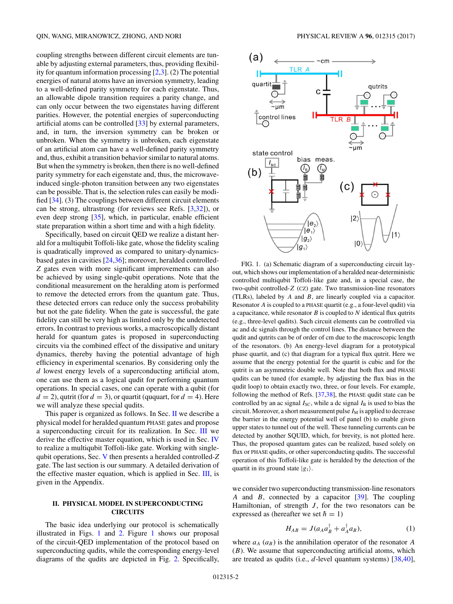<span id="page-1-0"></span>coupling strengths between different circuit elements are tunable by adjusting external parameters, thus, providing flexibility for quantum information processing [\[2,3\]](#page-10-0). (2) The potential energies of natural atoms have an inversion symmetry, leading to a well-defined parity symmetry for each eigenstate. Thus, an allowable dipole transition requires a parity change, and can only occur between the two eigenstates having different parities. However, the potential energies of superconducting artificial atoms can be controlled [\[33\]](#page-11-0) by external parameters, and, in turn, the inversion symmetry can be broken or unbroken. When the symmetry is unbroken, each eigenstate of an artificial atom can have a well-defined parity symmetry and, thus, exhibit a transition behavior similar to natural atoms. But when the symmetry is broken, then there is no well-defined parity symmetry for each eigenstate and, thus, the microwaveinduced single-photon transition between any two eigenstates can be possible. That is, the selection rules can easily be modified [\[34\]](#page-11-0). (3) The couplings between different circuit elements can be strong, ultrastrong (for reviews see Refs. [\[3](#page-10-0)[,32\]](#page-11-0)), or even deep strong [\[35\]](#page-11-0), which, in particular, enable efficient state preparation within a short time and with a high fidelity.

Specifically, based on circuit QED we realize a distant herald for a multiqubit Toffoli-like gate, whose the fidelity scaling is quadratically improved as compared to unitary-dynamicsbased gates in cavities [\[24,36\]](#page-11-0); moreover, heralded controlled*-Z* gates even with more significant improvements can also be achieved by using single-qubit operations. Note that the conditional measurement on the heralding atom is performed to remove the detected errors from the quantum gate. Thus, these detected errors can reduce only the success probability but not the gate fidelity. When the gate is successful, the gate fidelity can still be very high as limited only by the undetected errors. In contrast to previous works, a macroscopically distant herald for quantum gates is proposed in superconducting circuits via the combined effect of the dissipative and unitary dynamics, thereby having the potential advantage of high efficiency in experimental scenarios. By considering only the *d* lowest energy levels of a superconducting artificial atom, one can use them as a logical qudit for performing quantum operations. In special cases, one can operate with a qubit (for  $d = 2$ ), qutrit (for  $d = 3$ ), or quartit (ququart, for  $d = 4$ ). Here we will analyze these special qudits.

This paper is organized as follows. In Sec. II we describe a physical model for heralded quantum PHASE gates and propose a superconducting circuit for its realization. In Sec. [III](#page-3-0) we derive the effective master equation, which is used in Sec. [IV](#page-5-0) to realize a multiqubit Toffoli-like gate. Working with singlequbit operations, Sec. [V](#page-6-0) then presents a heralded controlled*-Z* gate. The last section is our summary. A detailed derivation of the effective master equation, which is applied in Sec. [III,](#page-3-0) is given in the Appendix.

# **II. PHYSICAL MODEL IN SUPERCONDUCTING CIRCUITS**

The basic idea underlying our protocol is schematically illustrated in Figs. 1 and [2.](#page-2-0) Figure 1 shows our proposal of the circuit-QED implementation of the protocol based on superconducting qudits, while the corresponding energy-level diagrams of the qudits are depicted in Fig. [2.](#page-2-0) Specifically,



FIG. 1. (a) Schematic diagram of a superconducting circuit layout, which shows our implementation of a heralded near-deterministic controlled multiqubit Toffoli-like gate and, in a special case, the two-qubit controlled-*Z* (CZ) gate. Two transmission-line resonators (TLRs), labeled by *A* and *B*, are linearly coupled via a capacitor. Resonator *A* is coupled to a PHASE quartit (e.g., a four-level qudit) via a capacitance, while resonator *B* is coupled to *N* identical flux qutrits (e.g., three-level qudits). Such circuit elements can be controlled via ac and dc signals through the control lines. The distance between the qudit and qutrits can be of order of cm due to the macroscopic length of the resonators. (b) An energy-level diagram for a prototypical phase quartit, and (c) that diagram for a typical flux qutrit. Here we assume that the energy potential for the quartit is cubic and for the qutrit is an asymmetric double well. Note that both flux and PHASE qudits can be tuned (for example, by adjusting the flux bias in the qudit loop) to obtain exactly two, three, or four levels. For example, following the method of Refs. [\[37,38\]](#page-11-0), the PHASE qudit state can be controlled by an ac signal  $I_{\text{SC}}$ , while a dc signal  $I_{\text{B}}$  is used to bias the circuit. Moreover, a short measurement pulse  $I_M$  is applied to decrease the barrier in the energy potential well of panel (b) to enable given upper states to tunnel out of the well. These tunneling currents can be detected by another SQUID, which, for brevity, is not plotted here. Thus, the proposed quantum gates can be realized, based solely on flux or PHASE qudits, or other superconducting qudits. The successful operation of this Toffoli-like gate is heralded by the detection of the quartit in its ground state  $|g_1\rangle$ .

we consider two superconducting transmission-line resonators *A* and *B*, connected by a capacitor [\[39\]](#page-11-0). The coupling Hamiltonian, of strength  $J$ , for the two resonators can be expressed as (hereafter we set  $\hbar = 1$ )

$$
H_{AB} = J(a_A a_B^{\dagger} + a_A^{\dagger} a_B), \tag{1}
$$

where  $a_A$   $(a_B)$  is the annihilation operator of the resonator *A* (*B*). We assume that superconducting artificial atoms, which are treated as qudits (i.e., *d*-level quantum systems) [\[38,40\]](#page-11-0),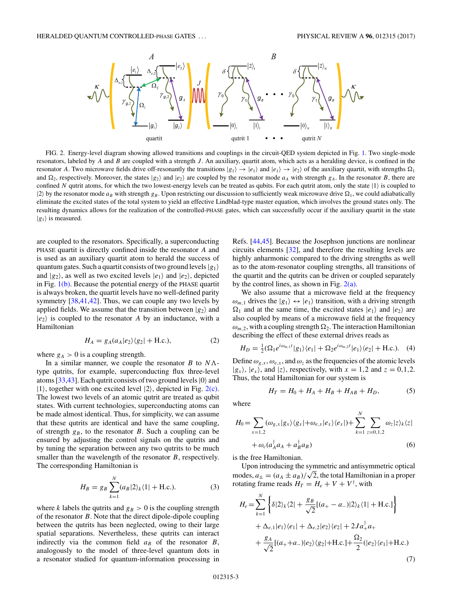<span id="page-2-0"></span>

FIG. 2. Energy-level diagram showing allowed transitions and couplings in the circuit-QED system depicted in Fig. [1.](#page-1-0) Two single-mode resonators, labeled by *A* and *B* are coupled with a strength *J* . An auxiliary, quartit atom, which acts as a heralding device, is confined in the resonator A. Two microwave fields drive off-resonantly the transitions  $|g_1\rangle \rightarrow |e_1\rangle$  and  $|e_1\rangle \rightarrow |e_2\rangle$  of the auxiliary quartit, with strengths  $\Omega_1$ and  $\Omega_2$ , respectively. Moreover, the states  $|g_2\rangle$  and  $|e_2\rangle$  are coupled by the resonator mode  $a_A$  with strength  $g_A$ . In the resonator *B*, there are confined N qutrit atoms, for which the two lowest-energy levels can be treated as qubits. For each qutrit atom, only the state  $|1\rangle$  is coupled to  $|2\rangle$  by the resonator mode  $a_B$  with strength  $g_B$ . Upon restricting our discussion to sufficiently weak microwave drive  $\Omega_1$ , we could adiabatically eliminate the excited states of the total system to yield an effective Lindblad-type master equation, which involves the ground states only. The resulting dynamics allows for the realization of the controlled-PHASE gates, which can successfully occur if the auxiliary quartit in the state  $|g_1\rangle$  is measured.

are coupled to the resonators. Specifically, a superconducting PHASE quartit is directly confined inside the resonator *A* and is used as an auxiliary quartit atom to herald the success of quantum gates. Such a quartit consists of two ground levels|*g*1 and  $|g_2\rangle$ , as well as two excited levels  $|e_1\rangle$  and  $|e_2\rangle$ , depicted in Fig.  $1(b)$ . Because the potential energy of the PHASE quartit is always broken, the quartit levels have no well-defined parity symmetry [\[38,41,42\]](#page-11-0). Thus, we can couple any two levels by applied fields. We assume that the transition between  $|g_2\rangle$  and  $|e_2\rangle$  is coupled to the resonator *A* by an inductance, with a Hamiltonian

$$
H_A = g_A(a_A|e_2\rangle\langle g_2| + \text{H.c.}),\tag{2}
$$

where  $g_A > 0$  is a coupling strength.

In a similar manner, we couple the resonator  $B$  to  $N\Lambda$ type qutrits, for example, superconducting flux three-level atoms  $[33, 43]$ . Each qutrit consists of two ground levels  $|0\rangle$  and  $|1\rangle$ , together with one excited level  $|2\rangle$ , depicted in Fig. 2(c). The lowest two levels of an atomic qutrit are treated as qubit states. With current technologies, superconducting atoms can be made almost identical. Thus, for simplicity, we can assume that these qutrits are identical and have the same coupling, of strength  $g_B$ , to the resonator *B*. Such a coupling can be ensured by adjusting the control signals on the qutrits and by tuning the separation between any two qutrits to be much smaller than the wavelength of the resonator *B*, respectively. The corresponding Hamiltonian is

$$
H_B = g_B \sum_{k=1}^{N} (a_B |2\rangle_k \langle 1| + \text{H.c.}).
$$
 (3)

where *k* labels the qutrits and  $g_B > 0$  is the coupling strength of the resonator *B*. Note that the direct dipole-dipole coupling between the qutrits has been neglected, owing to their large spatial separations. Nevertheless, these qutrits can interact indirectly via the common field  $a_B$  of the resonator  $B$ , analogously to the model of three-level quantum dots in a resonator studied for quantum-information processing in

Refs. [\[44,45\]](#page-11-0). Because the Josephson junctions are nonlinear circuits elements [\[32\]](#page-11-0), and therefore the resulting levels are highly anharmonic compared to the driving strengths as well as to the atom-resonator coupling strengths, all transitions of the quartit and the qutrits can be driven or coupled separately by the control lines, as shown in Fig.  $2(a)$ .

We also assume that a microwave field at the frequency  $\omega_{m,1}$  drives the  $|g_1\rangle \leftrightarrow |e_1\rangle$  transition, with a driving strength  $\Omega_1$  and at the same time, the excited states  $|e_1\rangle$  and  $|e_2\rangle$  are also coupled by means of a microwave field at the frequency  $\omega_{m,2}$ , with a coupling strength  $\Omega_2$ . The interaction Hamiltonian describing the effect of these external drives reads as

$$
H_D = \frac{1}{2} \langle \Omega_1 e^{i\omega_{m,1}t} | g_1 \rangle \langle e_1 | + \Omega_2 e^{i\omega_{m,2}t} | e_1 \rangle \langle e_2 | + \text{H.c.}). \tag{4}
$$

Define  $\omega_{g,x}, \omega_{e,x}$ , and  $\omega_z$  as the frequencies of the atomic levels  $|g_x\rangle$ ,  $|e_x\rangle$ , and  $|z\rangle$ , respectively, with  $x = 1,2$  and  $z = 0,1,2$ . Thus, the total Hamiltonian for our system is

$$
H_T = H_0 + H_A + H_B + H_{AB} + H_D, \tag{5}
$$

where

$$
H_0 = \sum_{x=1,2} (\omega_{g,x} |g_x\rangle\langle g_x| + \omega_{e,x} |e_x\rangle\langle e_x|) + \sum_{k=1}^N \sum_{z=0,1,2} \omega_z |z\rangle_k\langle z| + \omega_c (a_A^\dagger a_A + a_B^\dagger a_B)
$$
(6)

is the free Hamiltonian.

Upon introducing the symmetric and antisymmetric optical Upon introducing the symmetric and antisymmetric optical<br>modes,  $a_{\pm} = (a_A \pm a_B)/\sqrt{2}$ , the total Hamiltonian in a proper rotating frame reads  $H_T = H_e + V + V^{\dagger}$ , with

$$
H_e = \sum_{k=1}^{N} \left\{ \delta |2\rangle_k \langle 2| + \frac{g_B}{\sqrt{2}} [(a_+ - a_-)|2\rangle_k \langle 1| + \text{H.c.}] \right\} + \Delta_{e,1}|e_1\rangle \langle e_1| + \Delta_{e,2}|e_2\rangle \langle e_2| + 2Ja_+^\dagger a_+ + \frac{g_A}{\sqrt{2}} [(a_+ + a_-)|e_2\rangle \langle g_2| + \text{H.c.}] + \frac{\Omega_2}{2} (|e_2\rangle \langle e_1| + \text{H.c.})
$$
(7)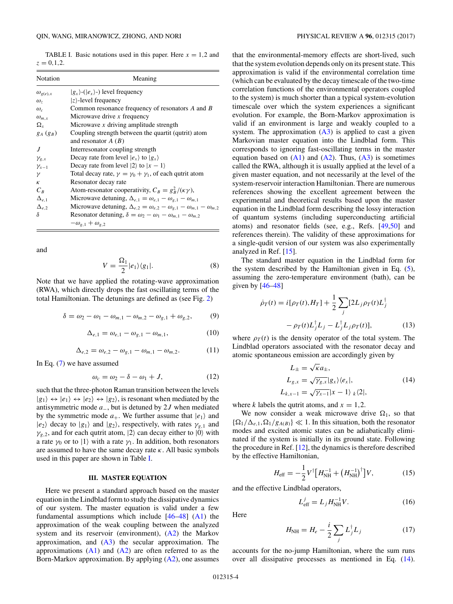<span id="page-3-0"></span>TABLE I. Basic notations used in this paper. Here  $x = 1,2$  and  $z = 0.1, 2.$ 

| Notation          | Meaning                                                                                        |  |  |
|-------------------|------------------------------------------------------------------------------------------------|--|--|
| $\omega_{g(e),x}$ | $ g_{x}\rangle$ -( $ e_{x}\rangle$ -) level frequency                                          |  |  |
| $\omega_z$        | $ z\rangle$ -level frequency                                                                   |  |  |
| $\omega_c$        | Common resonance frequency of resonators $A$ and $B$                                           |  |  |
| $\omega_{m.x}$    | Microwave drive $x$ frequency                                                                  |  |  |
| $\Omega_r$        | Microwave $x$ driving amplitude strength                                                       |  |  |
| $g_A(g_B)$        | Coupling strength between the quartit (qutrit) atom                                            |  |  |
|                   | and resonator $A(B)$                                                                           |  |  |
| $\boldsymbol{I}$  | Interresonator coupling strength                                                               |  |  |
| $\gamma_{g,x}$    | Decay rate from level $ e_x\rangle$ to $ g_x\rangle$                                           |  |  |
| $\gamma_{x-1}$    | Decay rate from level $ 2\rangle$ to $ x - 1\rangle$                                           |  |  |
| γ                 | Total decay rate, $\gamma = \gamma_0 + \gamma_1$ , of each qutrit atom                         |  |  |
| $\kappa$          | Resonator decay rate                                                                           |  |  |
| $C_R$             | Atom-resonator cooperativity, $C_B = g_R^2/(\kappa \gamma)$ ,                                  |  |  |
| $\Delta_{e,1}$    | Microwave detuning, $\Delta_{e,1} = \omega_{e,1} - \omega_{e,1} - \omega_{m,1}$                |  |  |
| $\Delta_{e,2}$    | Microwave detuning, $\Delta_{e,2} = \omega_{e,2} - \omega_{g,1} - \omega_{m,1} - \omega_{m,2}$ |  |  |
| δ                 | Resonator detuning, $\delta = \omega_2 - \omega_1 - \omega_{m,1} - \omega_{m,2}$               |  |  |
|                   | $-\omega_{g,1} + \omega_{g,2}$                                                                 |  |  |

and

$$
V = \frac{\Omega_1}{2} |e_1\rangle\langle g_1|.
$$
 (8)

Note that we have applied the rotating-wave approximation (RWA), which directly drops the fast oscillating terms of the total Hamiltonian. The detunings are defined as (see Fig. [2\)](#page-2-0)

$$
\delta = \omega_2 - \omega_1 - \omega_{m,1} - \omega_{m,2} - \omega_{g,1} + \omega_{g,2},
$$
 (9)

$$
\Delta_{e,1} = \omega_{e,1} - \omega_{g,1} - \omega_{m,1},
$$
\n(10)

$$
\Delta_{e,2} = \omega_{e,2} - \omega_{g,1} - \omega_{m,1} - \omega_{m,2}.
$$
 (11)

In Eq. [\(7\)](#page-2-0) we have assumed

$$
\omega_c = \omega_2 - \delta - \omega_1 + J,\tag{12}
$$

such that the three-photon Raman transition between the levels  $|g_1\rangle \leftrightarrow |e_1\rangle \leftrightarrow |e_2\rangle \leftrightarrow |g_2\rangle$ , is resonant when mediated by the antisymmetric mode *a*−, but is detuned by 2*J* when mediated by the symmetric mode  $a_+$ . We further assume that  $|e_1\rangle$  and  $|e_2\rangle$  decay to  $|g_1\rangle$  and  $|g_2\rangle$ , respectively, with rates  $\gamma_{g,1}$  and  $\gamma_{g,2}$ , and for each qutrit atom,  $|2\rangle$  can decay either to  $|0\rangle$  with a rate  $\gamma_0$  or to  $|1\rangle$  with a rate  $\gamma_1$ . In addition, both resonators are assumed to have the same decay rate *κ*. All basic symbols used in this paper are shown in Table I.

## **III. MASTER EQUATION**

Here we present a standard approach based on the master equation in the Lindblad form to study the dissipative dynamics of our system. The master equation is valid under a few fundamental assumptions which include  $[46-48]$  [\(A1\)](#page-9-0) the approximation of the weak coupling between the analyzed system and its reservoir (environment), [\(A2\)](#page-9-0) the Markov approximation, and  $(A3)$  the secular approximation. The approximations  $(A1)$  and  $(A2)$  are often referred to as the Born-Markov approximation. By applying [\(A2\)](#page-9-0), one assumes that the environmental-memory effects are short-lived, such that the system evolution depends only on its present state. This approximation is valid if the environmental correlation time (which can be evaluated by the decay timescale of the two-time correlation functions of the environmental operators coupled to the system) is much shorter than a typical system-evolution timescale over which the system experiences a significant evolution. For example, the Born-Markov approximation is valid if an environment is large and weakly coupled to a system. The approximation  $(A3)$  is applied to cast a given Markovian master equation into the Lindblad form. This corresponds to ignoring fast-oscillating terms in the master equation based on  $(A1)$  and  $(A2)$ . Thus,  $(A3)$  is sometimes called the RWA, although it is usually applied at the level of a given master equation, and not necessarily at the level of the system-reservoir interaction Hamiltonian. There are numerous references showing the excellent agreement between the experimental and theoretical results based upon the master equation in the Lindblad form describing the lossy interaction of quantum systems (including superconducting artificial atoms) and resonator fields (see, e.g., Refs. [\[49,50\]](#page-11-0) and references therein). The validity of these approximations for a single-qudit version of our system was also experimentally analyzed in Ref. [\[15\]](#page-10-0).

The standard master equation in the Lindblad form for the system described by the Hamiltonian given in Eq. [\(5\)](#page-2-0), assuming the zero-temperature environment (bath), can be given by  $[46-48]$ 

$$
\dot{\rho}_T(t) = i[\rho_T(t), H_T] + \frac{1}{2} \sum_j [2L_j \rho_T(t)L_j^{\dagger}
$$

$$
- \rho_T(t)L_j^{\dagger}L_j - L_j^{\dagger}L_j \rho_T(t)], \qquad (13)
$$

where  $\rho_T(t)$  is the density operator of the total system. The Lindblad operators associated with the resonator decay and atomic spontaneous emission are accordingly given by

$$
L_{\pm} = \sqrt{\kappa} a_{\pm},
$$
  
\n
$$
L_{g,x} = \sqrt{\gamma_{g,x}} |g_x\rangle \langle e_x|,
$$
  
\n
$$
L_{k,x-1} = \sqrt{\gamma_{x-1}} |x-1\rangle_k \langle 2|,
$$
\n(14)

where *k* labels the qutrit atoms, and  $x = 1,2$ .

We now consider a weak microwave drive  $\Omega_1$ , so that  ${\Omega_1}/{\Delta_{e,1}, \Omega_1/g_{A(B)}} \ll 1$ . In this situation, both the resonator modes and excited atomic states can be adiabatically eliminated if the system is initially in its ground state. Following the procedure in Ref. [\[12\]](#page-10-0), the dynamics is therefore described by the effective Hamiltonian,

$$
H_{\rm eff} = -\frac{1}{2} V^{\dagger} \left[ H_{\rm NH}^{-1} + \left( H_{\rm NH}^{-1} \right)^{\dagger} \right] V, \tag{15}
$$

and the effective Lindblad operators,

$$
L_{\rm eff}^j = L_j H_{\rm NH}^{-1} V. \tag{16}
$$

Here

$$
H_{\rm NH} = H_e - \frac{i}{2} \sum_j L_j^{\dagger} L_j \tag{17}
$$

accounts for the no-jump Hamiltonian, where the sum runs over all dissipative processes as mentioned in Eq. (14).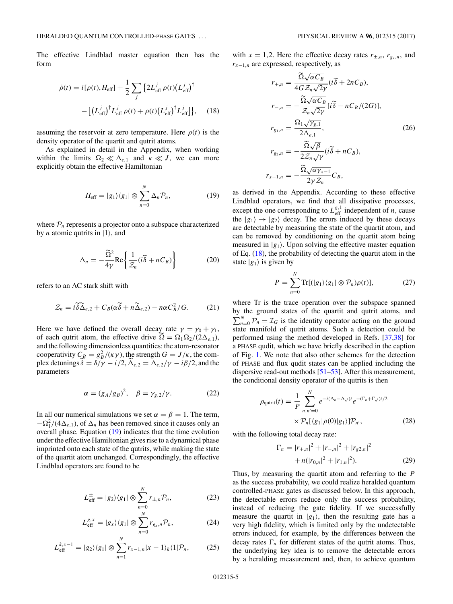<span id="page-4-0"></span>The effective Lindblad master equation then has the form

$$
\dot{\rho}(t) = i[\rho(t), H_{\text{eff}}] + \frac{1}{2} \sum_{j} \left\{ 2L_{\text{eff}}^{j} \rho(t) \left( L_{\text{eff}}^{j} \right)^{\dagger} - \left[ \left( L_{\text{eff}}^{j} \right)^{\dagger} L_{\text{eff}}^{j} \rho(t) + \rho(t) \left( L_{\text{eff}}^{j} \right)^{\dagger} L_{\text{eff}}^{j} \right] \right\}, \quad (18)
$$

assuming the reservoir at zero temperature. Here  $\rho(t)$  is the density operator of the quartit and qutrit atoms.

As explained in detail in the Appendix, when working within the limits  $\Omega_2 \ll \Delta_{e,1}$  and  $\kappa \ll J$ , we can more explicitly obtain the effective Hamiltonian

$$
H_{\text{eff}} = |g_1\rangle\langle g_1| \otimes \sum_{n=0}^{N} \Delta_n \mathcal{P}_n, \qquad (19)
$$

where  $P_n$  represents a projector onto a subspace characterized by *n* atomic qutrits in  $|1\rangle$ , and

$$
\Delta_n = -\frac{\tilde{\Omega}^2}{4\gamma} \text{Re} \left\{ \frac{1}{\mathcal{Z}_n} (i\tilde{\delta} + nC_B) \right\} \tag{20}
$$

refers to an AC stark shift with

$$
\mathcal{Z}_n = i\widetilde{\delta}\widetilde{\Delta}_{e,2} + C_B(\alpha\widetilde{\delta} + n\widetilde{\Delta}_{e,2}) - n\alpha C_B^2/G. \tag{21}
$$

Here we have defined the overall decay rate  $\gamma = \gamma_0 + \gamma_1$ , of each qutrit atom, the effective drive  $\Omega = \Omega_1 \Omega_2 / (2 \Delta_{e,1}),$ and the following dimensionless quantities: the atom-resonator cooperativity  $C_B = g_B^2/(\kappa \gamma)$ , the strength  $G = J/\kappa$ , the complex detunings  $\delta = \delta/\gamma - i/2$ ,  $\tilde{\Delta}_{e,2} = \Delta_{e,2}/\gamma - i\beta/2$ , and the parameters

$$
\alpha = (g_A/g_B)^2, \quad \beta = \gamma_{g,2}/\gamma. \tag{22}
$$

In all our numerical simulations we set  $\alpha = \beta = 1$ . The term,  $-\Omega_1^2/(4\Delta_{e,1})$ , of  $\Delta_n$  has been removed since it causes only an overall phase. Equation (19) indicates that the time evolution under the effective Hamiltonian gives rise to a dynamical phase imprinted onto each state of the qutrits, while making the state of the quartit atom unchanged. Correspondingly, the effective Lindblad operators are found to be

$$
L_{\text{eff}}^{\pm} = |g_2\rangle\langle g_1| \otimes \sum_{n=0}^{N} r_{\pm,n} \mathcal{P}_n, \qquad (23)
$$

$$
L_{\text{eff}}^{g,x} = |g_x\rangle\langle g_1| \otimes \sum_{n=0}^{N} r_{g_x,n} \mathcal{P}_n, \qquad (24)
$$

$$
L_{\text{eff}}^{k,x-1} = |g_2\rangle\langle g_1| \otimes \sum_{n=1}^{N} r_{x-1,n} |x-1\rangle_k \langle 1 | \mathcal{P}_n, \qquad (25)
$$

with  $x = 1,2$ . Here the effective decay rates  $r_{\pm,n}$ ,  $r_{g_x,n}$ , and *r<sub>x−1,n</sub>* are expressed, respectively, as

$$
r_{+,n} = \frac{\tilde{\Omega}\sqrt{\alpha C_B}}{4G\mathcal{Z}_n\sqrt{2\gamma}} (i\tilde{\delta} + 2nC_B),
$$
  
\n
$$
r_{-,n} = -\frac{\tilde{\Omega}\sqrt{\alpha C_B}}{\mathcal{Z}_n\sqrt{2\gamma}} [i\tilde{\delta} - nC_B/(2G)],
$$
  
\n
$$
r_{g_1,n} = \frac{\Omega_1\sqrt{\gamma_{g,1}}}{2\Delta_{e,1}},
$$
  
\n
$$
r_{g_2,n} = -\frac{\tilde{\Omega}\sqrt{\beta}}{2\mathcal{Z}_n\sqrt{\gamma}} (i\tilde{\delta} + nC_B),
$$
  
\n
$$
r_{x-1,n} = -\frac{\tilde{\Omega}\sqrt{\alpha \gamma_{x-1}}}{2\gamma \mathcal{Z}_n} C_B,
$$
  
\n(26)

as derived in the Appendix. According to these effective Lindblad operators, we find that all dissipative processes, except the one corresponding to  $L_{\text{eff}}^{g,1}$  independent of *n*, cause the  $|g_1\rangle \rightarrow |g_2\rangle$  decay. The errors induced by these decays are detectable by measuring the state of the quartit atom, and can be removed by conditioning on the quartit atom being measured in  $|g_1\rangle$ . Upon solving the effective master equation of Eq. (18), the probability of detecting the quartit atom in the state  $|g_1\rangle$  is given by

$$
P = \sum_{n=0}^{N} \text{Tr}[(|g_1\rangle\langle g_1| \otimes \mathcal{P}_n)\rho(t)], \qquad (27)
$$

where Tr is the trace operation over the subspace spanned by the ground states of the quartit and qutrit atoms, and  $\sum_{n=0}^{N} P_n = \mathcal{I}_G$  is the identity operator acting on the ground state manifold of qutrit atoms. Such a detection could be performed using the method developed in Refs. [\[37,38\]](#page-11-0) for a PHASE qudit, which we have briefly described in the caption of Fig. [1.](#page-1-0) We note that also other schemes for the detection of PHASE and flux qudit states can be applied including the dispersive read-out methods [\[51–](#page-11-0)[53\]](#page-12-0). After this measurement, the conditional density operator of the qutrits is then

$$
\rho_{\text{qutrit}}(t) = \frac{1}{P} \sum_{n,n'=0}^{N} e^{-i(\Delta_n - \Delta_{n'})t} e^{-(\Gamma_n + \Gamma_{n'})t/2}
$$

$$
\times \mathcal{P}_n[\langle g_1 | \rho(0) | g_1 \rangle] \mathcal{P}_{n'}, \qquad (28)
$$

with the following total decay rate:

$$
\Gamma_n = |r_{+,n}|^2 + |r_{-,n}|^2 + |r_{g2,n}|^2
$$
  
+  $n(|r_{0,n}|^2 + |r_{1,n}|^2)$ . (29)

Thus, by measuring the quartit atom and referring to the *P* as the success probability, we could realize heralded quantum controlled-PHASE gates as discussed below. In this approach, the detectable errors reduce only the success probability, instead of reducing the gate fidelity. If we successfully measure the quartit in  $|g_1\rangle$ , then the resulting gate has a very high fidelity, which is limited only by the undetectable errors induced, for example, by the differences between the decay rates  $\Gamma_n$  for different states of the qutrit atoms. Thus, the underlying key idea is to remove the detectable errors by a heralding measurement and, then, to achieve quantum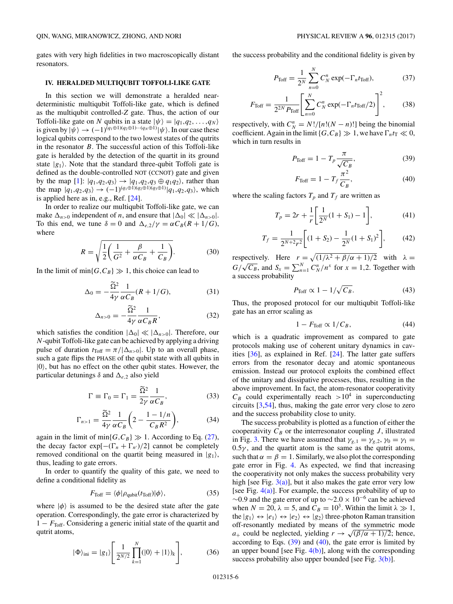<span id="page-5-0"></span>gates with very high fidelities in two macroscopically distant resonators.

## **IV. HERALDED MULTIQUBIT TOFFOLI-LIKE GATE**

In this section we will demonstrate a heralded neardeterministic multiqubit Toffoli-like gate, which is defined as the multiqubit controlled*-Z* gate. Thus, the action of our Toffoli-like gate on *N* qubits in a state  $|\psi\rangle = |q_1, q_2, \dots, q_N\rangle$ is given by  $|\psi\rangle \rightarrow (-1)^{(q_1 \oplus 1)(q_2 \oplus 1)\cdots(q_N \oplus 1)} |\psi\rangle$ . In our case these logical qubits correspond to the two lowest states of the qutrits in the resonator *B*. The successful action of this Toffoli-like gate is heralded by the detection of the quartit in its ground state  $|g_1\rangle$ . Note that the standard three-qubit Toffoli gate is defined as the double-controlled NOT (CCNOT) gate and given by the map [\[1\]](#page-10-0):  $|q_1, q_2, q_3\rangle \rightarrow |q_1, q_2, q_3 \oplus q_1 q_2\rangle$ , rather than the map  $|q_1, q_2, q_3\rangle \rightarrow (-1)^{(q_1 \oplus 1)(q_2 \oplus 1)(q_3 \oplus 1)} |q_1, q_2, q_3\rangle$ , which is applied here as in, e.g., Ref. [\[24\]](#page-11-0).

In order to realize our multiqubit Toffoli-like gate, we can make  $\Delta_{n>0}$  independent of *n*, and ensure that  $|\Delta_0| \ll |\Delta_{n>0}|$ . To this end, we tune  $\delta = 0$  and  $\Delta_{e,2}/\gamma = \alpha C_B(R + 1/G)$ , where

$$
R = \sqrt{\frac{1}{2} \left( \frac{1}{G^2} + \frac{\beta}{\alpha C_B} + \frac{1}{C_B} \right)}.
$$
 (30)

In the limit of min ${G, C_B} \gg 1$ , this choice can lead to

$$
\Delta_0 = -\frac{\tilde{\Omega}^2}{4\gamma} \frac{1}{\alpha C_B} (R + 1/G),\tag{31}
$$

$$
\Delta_{n>0} = -\frac{\widetilde{\Omega}^2}{4\gamma} \frac{1}{\alpha C_B R},\tag{32}
$$

which satisfies the condition  $|\Delta_0| \ll |\Delta_{n>0}|$ . Therefore, our *N*-qubit Toffoli-like gate can be achieved by applying a driving pulse of duration  $t_{\text{Toff}} = \pi/|\Delta_{n>0}|$ . Up to an overall phase, such a gate flips the PHASE of the qubit state with all qubits in  $|0\rangle$ , but has no effect on the other qubit states. However, the particular detunings  $\delta$  and  $\Delta_{e,2}$  also yield

$$
\Gamma \equiv \Gamma_0 = \Gamma_1 = \frac{\tilde{\Omega}^2}{2\gamma} \frac{1}{\alpha C_B},\tag{33}
$$

$$
\Gamma_{n>1} = \frac{\widetilde{\Omega}^2}{4\gamma} \frac{1}{\alpha C_B} \left( 2 - \frac{1 - 1/n}{C_B R^2} \right),\tag{34}
$$

again in the limit of min ${G, C_B} \gg 1$ . According to Eq. [\(27\)](#page-4-0), the decay factor  $\exp[-(\Gamma_n + \Gamma_{n'})/2]$  cannot be completely removed conditional on the quartit being measured in  $|g_1\rangle$ , thus, leading to gate errors.

In order to quantify the quality of this gate, we need to define a conditional fidelity as

$$
F_{\text{Toff}} = \langle \phi | \rho_{\text{qubit}}(t_{\text{Toff}}) | \phi \rangle, \tag{35}
$$

where  $|\phi\rangle$  is assumed to be the desired state after the gate operation. Correspondingly, the gate error is characterized by 1 − *F*Toff. Considering a generic initial state of the quartit and qutrit atoms,

$$
|\Phi\rangle_{\text{ini}} = |g_1\rangle \left[ \frac{1}{2^{N/2}} \prod_{k=1}^{N} (|0\rangle + |1\rangle)_k \right],\tag{36}
$$

the success probability and the conditional fidelity is given by

$$
P_{\text{Toff}} = \frac{1}{2^N} \sum_{n=0}^{N} C_N^n \exp(-\Gamma_n t_{\text{Toff}}), \tag{37}
$$

$$
F_{\text{Toff}} = \frac{1}{2^{2N} P_{\text{Toff}}} \left[ \sum_{n=0}^{N} C_N^n \exp(-\Gamma_n t_{\text{Toff}}/2) \right]^2, \tag{38}
$$

respectively, with  $C_N^n = N!/[n!(N - n)!]$  being the binomial coefficient. Again in the limit  ${G, C_B} \gg 1$ , we have  $\Gamma_n t$ <sup>T</sup>  $\ll 0$ , which in turn results in

$$
P_{\text{Toff}} = 1 - T_p \frac{\pi}{\sqrt{C_B}},\tag{39}
$$

$$
F_{\text{Toff}} = 1 - T_f \frac{\pi^2}{C_B},\tag{40}
$$

where the scaling factors  $T_p$  and  $T_f$  are written as

$$
T_p = 2r + \frac{1}{r} \left[ \frac{1}{2^N} (1 + S_1) - 1 \right],\tag{41}
$$

$$
T_f = \frac{1}{2^{N+2}r^2} \bigg[ (1+S_2) - \frac{1}{2^N} (1+S_1)^2 \bigg],\tag{42}
$$

respectively. Here  $r = \sqrt{(1/\lambda^2 + \beta/\alpha + 1)/2}$  with  $\lambda =$  $G/\sqrt{C_B}$ , and  $S_x = \sum_{n=1}^{N} C_n^n/n^x$  for  $x = 1,2$ . Together with a success probability

$$
P_{\text{Toff}} \propto 1 - 1/\sqrt{C_B}.\tag{43}
$$

Thus, the proposed protocol for our multiqubit Toffoli-like gate has an error scaling as

$$
1 - F_{\text{Toff}} \propto 1/C_B,\tag{44}
$$

which is a quadratic improvement as compared to gate protocols making use of coherent unitary dynamics in cavities [\[36\]](#page-11-0), as explained in Ref. [\[24\]](#page-11-0). The latter gate suffers errors from the resonator decay and atomic spontaneous emission. Instead our protocol exploits the combined effect of the unitary and dissipative processes, thus, resulting in the above improvement. In fact, the atom-resonator cooperativity  $C_B$  could experimentally reach  $>10^4$  in superconducting circuits [\[3,](#page-10-0)[54\]](#page-12-0), thus, making the gate error very close to zero and the success probability close to unity.

The success probability is plotted as a function of either the cooperativity  $C_B$  or the interresonator coupling  $J$ , illustrated in Fig. [3.](#page-6-0) There we have assumed that  $\gamma_{g,1} = \gamma_{g,2}, \gamma_0 = \gamma_1 =$  $0.5\gamma$ , and the quartit atom is the same as the qutrit atoms, such that  $\alpha = \beta = 1$ . Similarly, we also plot the corresponding gate error in Fig. [4.](#page-6-0) As expected, we find that increasing the cooperativity not only makes the success probability very high [see Fig.  $3(a)$ ], but it also makes the gate error very low [see Fig.  $4(a)$ ]. For example, the success probability of up to  $∼0.9$  and the gate error of up to  $∼2.0 × 10<sup>-6</sup>$  can be achieved when  $N = 20$ ,  $\lambda = 5$ , and  $C_B = 10^3$ . Within the limit  $\lambda \gg 1$ , the  $|g_1\rangle \leftrightarrow |e_1\rangle \leftrightarrow |e_2\rangle \leftrightarrow |g_2\rangle$  three-photon Raman transition off-resonantly mediated by means of the symmetric mode *a*+ could be neglected, yielding  $r \rightarrow \sqrt{(\beta/\alpha + 1)/2}$ ; hence, according to Eqs.  $(39)$  and  $(40)$ , the gate error is limited by an upper bound [see Fig.  $4(b)$ ], along with the corresponding success probability also upper bounded [see Fig.  $3(b)$ ].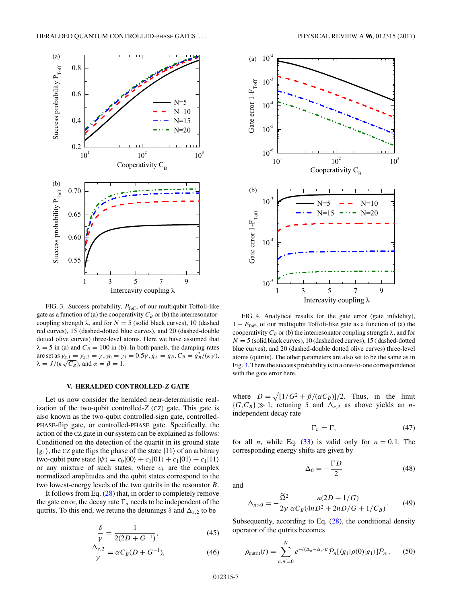<span id="page-6-0"></span>

FIG. 3. Success probability,  $P_{\text{Toff}}$ , of our multiqubit Toffoli-like gate as a function of (a) the cooperativity  $C_B$  or (b) the interresonatorcoupling strength  $λ$ , and for  $N = 5$  (solid black curves), 10 (dashed red curves), 15 (dashed-dotted blue curves), and 20 (dashed-double dotted olive curves) three-level atoms. Here we have assumed that  $\lambda = 5$  in (a) and  $C_B = 100$  in (b). In both panels, the damping rates are set as  $\gamma_{g,1} = \gamma_{g,2} = \gamma$ ,  $\gamma_0 = \gamma_1 = 0.5\gamma$ ,  $g_A = g_B$ ,  $C_B = g_B^2/(\kappa \gamma)$ ,  $\lambda = J/(\kappa \sqrt{C_B})$ , and  $\alpha = \beta = 1$ .

## **V. HERALDED CONTROLLED-***Z* **GATE**

Let us now consider the heralded near-deterministic realization of the two-qubit controlled*-Z* (CZ) gate. This gate is also known as the two-qubit controlled-sign gate, controlled-PHASE-flip gate, or controlled-PHASE gate. Specifically, the action of the CZ gate in our system can be explained as follows: Conditioned on the detection of the quartit in its ground state  $|g_1\rangle$ , the CZ gate flips the phase of the state  $|11\rangle$  of an arbitrary two-qubit pure state  $|\psi\rangle = c_0|00\rangle + c_1|01\rangle + c_1|01\rangle + c_1|11\rangle$ or any mixture of such states, where  $c_k$  are the complex normalized amplitudes and the qubit states correspond to the two lowest-energy levels of the two qutrits in the resonator *B*.

It follows from Eq. [\(28\)](#page-4-0) that, in order to completely remove the gate error, the decay rate  $\Gamma_n$  needs to be independent of the qutrits. To this end, we retune the detunings  $\delta$  and  $\Delta_{e,2}$  to be

$$
\frac{\delta}{\gamma} = \frac{1}{2(2D + G^{-1})},\tag{45}
$$

$$
\frac{\Delta_{e,2}}{\gamma} = \alpha C_B (D + G^{-1}),\tag{46}
$$



FIG. 4. Analytical results for the gate error (gate infidelity), 1 − *F*Toff, of our multiqubit Toffoli-like gate as a function of (a) the cooperativity  $C_B$  or (b) the interresonator coupling strength  $\lambda$ , and for  $N = 5$  (solid black curves), 10 (dashed red curves), 15 (dashed-dotted blue curves), and 20 (dashed-double dotted olive curves) three-level atoms (qutrits). The other parameters are also set to be the same as in Fig. 3. There the success probability is in a one-to-one correspondence with the gate error here.

where  $D = \sqrt{[1/G^2 + \beta/(\alpha C_B)]/2}$ . Thus, in the limit  ${G, C_B} \gg 1$ , retuning  $\delta$  and  $\Delta_{e,2}$  as above yields an *n*independent decay rate

$$
\Gamma_n = \Gamma,\tag{47}
$$

for all *n*, while Eq. [\(33\)](#page-5-0) is valid only for  $n = 0,1$ . The corresponding energy shifts are given by

$$
\Delta_0 = -\frac{12}{2} \tag{48}
$$

and

$$
\Delta_{n>0} = -\frac{\tilde{\Omega}^2}{2\gamma} \frac{n(2D+1/G)}{\alpha C_B (4nD^2 + 2nD/G + 1/C_B)}.
$$
 (49)

 $\Gamma D$ 

Subsequently, according to Eq. [\(28\)](#page-4-0), the conditional density operator of the qutrits becomes

$$
\rho_{\text{qutrit}}(t) = \sum_{n,n'=0}^{N} e^{-i(\Delta_n - \Delta_{n'})t} \mathcal{P}_n[\langle g_1 | \rho(0) | g_1 \rangle] \mathcal{P}_{n'}, \qquad (50)
$$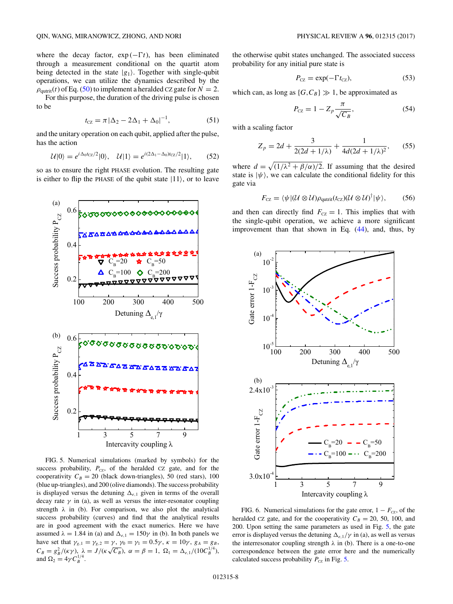<span id="page-7-0"></span>where the decay factor,  $exp(-\Gamma t)$ , has been eliminated through a measurement conditional on the quartit atom being detected in the state  $|g_1\rangle$ . Together with single-qubit operations, we can utilize the dynamics described by the  $\rho_{\text{qutrit}}(t)$  of Eq. [\(50\)](#page-6-0) to implement a heralded CZ gate for  $N = 2$ .

For this purpose, the duration of the driving pulse is chosen to be

$$
t_{\rm CZ} = \pi |\Delta_2 - 2\Delta_1 + \Delta_0|^{-1}, \tag{51}
$$

and the unitary operation on each qubit, applied after the pulse, has the action

$$
\mathcal{U}|0\rangle = e^{i\Delta_0 t_{\text{CZ}}/2}|0\rangle, \quad \mathcal{U}|1\rangle = e^{i(2\Delta_1 - \Delta_0)t_{\text{CZ}}/2}|1\rangle,\tag{52}
$$

so as to ensure the right PHASE evolution. The resulting gate is either to flip the PHASE of the qubit state  $|11\rangle$ , or to leave



FIG. 5. Numerical simulations (marked by symbols) for the success probability,  $P_{CZ}$ , of the heralded CZ gate, and for the cooperativity  $C_B = 20$  (black down-triangles), 50 (red stars), 100 (blue up-triangles), and 200 (olive diamonds). The success probability is displayed versus the detuning  $\Delta_{e,1}$  given in terms of the overall decay rate  $\gamma$  in (a), as well as versus the inter-resonator coupling strength  $\lambda$  in (b). For comparison, we also plot the analytical success probability (curves) and find that the analytical results are in good agreement with the exact numerics. Here we have assumed  $\lambda = 1.84$  in (a) and  $\Delta_{e,1} = 150\gamma$  in (b). In both panels we have set that  $\gamma_{g,1} = \gamma_{g,2} = \gamma$ ,  $\gamma_0 = \gamma_1 = 0.5\gamma$ ,  $\kappa = 10\gamma$ ,  $g_A = g_B$ , *CB* =  $g_B^2/(\kappa \gamma)$ ,  $\lambda = J/(\kappa \sqrt{C_B})$ ,  $\alpha = \beta = 1$ ,  $\Omega_1 = \Delta_{e,1}/(10C_B^{1/4})$ , and  $\Omega_2 = 4\gamma C_B^{1/4}$ .

the otherwise qubit states unchanged. The associated success probability for any initial pure state is

$$
P_{\rm CZ} = \exp(-\Gamma t_{\rm CZ}),\tag{53}
$$

which can, as long as  ${G, C_B} \gg 1$ , be approximated as

$$
P_{\rm CZ} = 1 - Z_p \frac{\pi}{\sqrt{C_B}},\tag{54}
$$

with a scaling factor

$$
Z_p = 2d + \frac{3}{2(2d+1/\lambda)} + \frac{1}{4d(2d+1/\lambda)^2},
$$
 (55)

where  $d = \sqrt{(1/\lambda^2 + \beta/\alpha)/2}$ . If assuming that the desired state is  $|\psi\rangle$ , we can calculate the conditional fidelity for this gate via

$$
F_{\rm CZ} = \langle \psi | (\mathcal{U} \otimes \mathcal{U}) \rho_{\rm qutri}(t_{\rm CZ}) (\mathcal{U} \otimes \mathcal{U})^\dagger | \psi \rangle, \qquad (56)
$$

and then can directly find  $F_{CZ} = 1$ . This implies that with the single-qubit operation, we achieve a more significant improvement than that shown in Eq. [\(44\)](#page-5-0), and, thus, by



FIG. 6. Numerical simulations for the gate error,  $1 - F_{CZ}$ , of the heralded CZ gate, and for the cooperativity  $C_B = 20, 50, 100,$  and 200. Upon setting the same parameters as used in Fig. 5, the gate error is displayed versus the detuning  $\Delta_{e,1}/\gamma$  in (a), as well as versus the interresonator coupling strength  $\lambda$  in (b). There is a one-to-one correspondence between the gate error here and the numerically calculated success probability  $P_{\text{cz}}$  in Fig. 5.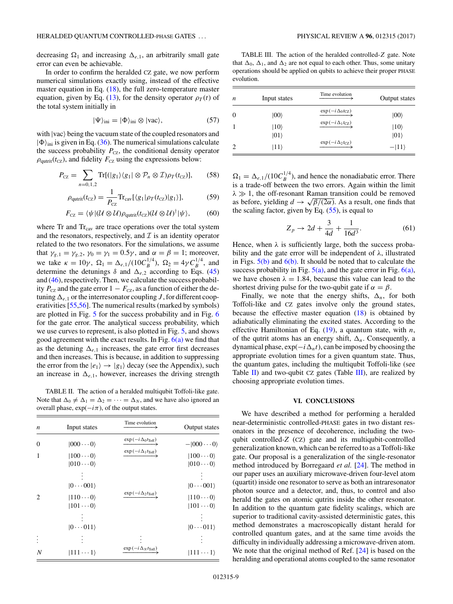decreasing  $\Omega_1$  and increasing  $\Delta_{e,1}$ , an arbitrarily small gate error can even be achievable.

In order to confirm the heralded CZ gate, we now perform numerical simulations exactly using, instead of the effective master equation in Eq. [\(18\)](#page-4-0), the full zero-temperature master equation, given by Eq. [\(13\)](#page-3-0), for the density operator  $\rho_T(t)$  of the total system initially in

$$
|\Psi\rangle_{\text{ini}} = |\Phi\rangle_{\text{ini}} \otimes |\text{vac}\rangle, \tag{57}
$$

with  $|vac\rangle$  being the vacuum state of the coupled resonators and  $|\Phi\rangle$ <sub>ini</sub> is given in Eq. [\(36\)](#page-5-0). The numerical simulations calculate the success probability  $P_{CZ}$ , the conditional density operator  $\rho_{\text{qutrit}}(t_{\text{CZ}})$ , and fidelity  $F_{\text{CZ}}$  using the expressions below:

$$
P_{\rm CZ} = \sum_{n=0,1,2} \text{Tr}[(|g_1\rangle\langle g_1| \otimes \mathcal{P}_n \otimes \mathcal{I})\rho_T(t_{\rm CZ})],\qquad(58)
$$

$$
\rho_{\text{qutrit}}(t_{\text{CZ}}) = \frac{1}{P_{\text{CZ}}} \text{Tr}_{\text{cav}}[\langle g_1 | \rho_T(t_{\text{CZ}}) | g_1 \rangle],\tag{59}
$$

$$
F_{\rm CZ} = \langle \psi | (\mathcal{U} \otimes \mathcal{U}) \rho_{\rm qutrit}(t_{\rm CZ}) (\mathcal{U} \otimes \mathcal{U})^\dagger | \psi \rangle, \qquad (60)
$$

where  $Tr$  and  $Tr_{cav}$  are trace operations over the total system and the resonators, respectively, and  $\mathcal I$  is an identity operator related to the two resonators. For the simulations, we assume that  $\gamma_{g,1} = \gamma_{g,2}, \gamma_0 = \gamma_1 = 0.5\gamma$ , and  $\alpha = \beta = 1$ ; moreover, we take  $\kappa = 10\gamma$ ,  $\Omega_1 = \Delta_{e,1}/(10C_B^{1/4})$ ,  $\Omega_2 = 4\gamma C_B^{1/4}$ , and determine the detunings  $\delta$  and  $\Delta_{e,2}$  according to Eqs. [\(45\)](#page-6-0) and [\(46\)](#page-6-0), respectively. Then, we calculate the success probability  $P_{\text{CZ}}$  and the gate error  $1 - F_{\text{CZ}}$ , as a function of either the detuning  $\Delta_{e,1}$  or the interresonator coupling *J*, for different cooperativities [\[55,56\]](#page-12-0). The numerical results (marked by symbols) are plotted in Fig. [5](#page-7-0) for the success probability and in Fig. [6](#page-7-0) for the gate error. The analytical success probability, which we use curves to represent, is also plotted in Fig. [5,](#page-7-0) and shows good agreement with the exact results. In Fig.  $6(a)$  we find that as the detuning  $\Delta_{e,1}$  increases, the gate error first decreases and then increases. This is because, in addition to suppressing the error from the  $|e_1\rangle \rightarrow |g_1\rangle$  decay (see the Appendix), such an increase in  $\Delta_{e,1}$ , however, increases the driving strength

TABLE II. The action of a heralded multiqubit Toffoli-like gate. Note that  $\Delta_0 \neq \Delta_1 = \Delta_2 = \cdots = \Delta_N$ , and we have also ignored an overall phase,  $exp(-i\pi)$ , of the output states.

| n | Input states           | Time evolution                     | Output states          |
|---|------------------------|------------------------------------|------------------------|
| 0 | $ 000 \cdots 0\rangle$ | $\exp(-i\Delta_0 t_{\text{Toff}})$ | $- 000\cdots0\rangle$  |
| 1 | $ 100 \cdots 0\rangle$ | $\exp(-i\Delta_1 t_{\text{Toff}})$ | $ 100 \cdots 0\rangle$ |
|   | $ 010\cdots0\rangle$   |                                    | $ 010 \cdots 0\rangle$ |
| 2 |                        |                                    |                        |
|   | $ 0 \cdots 001\rangle$ |                                    | $ 0 \cdots 001\rangle$ |
|   | $ 110\cdots0\rangle$   | $\exp(-i\Delta_2 t_{\text{Toff}})$ | $ 110\cdots0\rangle$   |
|   | $ 101 \cdots 0\rangle$ |                                    | $ 101 \cdots 0\rangle$ |
|   |                        |                                    |                        |
|   | $ 0 \cdots 011\rangle$ |                                    | $ 0 \cdots 011\rangle$ |
|   |                        |                                    |                        |
| N | $ 111 \cdots 1\rangle$ | $\exp(-i\Delta_N t_{\text{Toff}})$ | $ 111 \cdots 1\rangle$ |

TABLE III. The action of the heralded controlled-*Z* gate. Note that  $\Delta_0$ ,  $\Delta_1$ , and  $\Delta_2$  are not equal to each other. Thus, some unitary operations should be applied on qubits to achieve their proper PHASE evolution.

| n | Input states                 | Time evolution                   | Output states                |
|---|------------------------------|----------------------------------|------------------------------|
| 0 | $ 00\rangle$                 | $\exp(-i\Delta_0 t_{\text{CZ}})$ | $ 00\rangle$                 |
| 1 | $ 10\rangle$<br>$ 01\rangle$ | $\exp(-i\Delta_1 t_{\text{CZ}})$ | $ 10\rangle$<br>$ 01\rangle$ |
| 2 | $ 11\rangle$                 | $\exp(-i\Delta_2 t_{\text{CZ}})$ | $-111$                       |

 $\Omega_1 = \Delta_{e,1}/(10C_B^{1/4})$ , and hence the nonadiabatic error. There is a trade-off between the two errors. Again within the limit  $\lambda \gg 1$ , the off-resonant Raman transition could be removed as before, yielding  $d \to \sqrt{\frac{\beta}{2\alpha}}$ . As a result, one finds that the scaling factor, given by Eq.  $(55)$ , is equal to

$$
Z_p \to 2d + \frac{3}{4d} + \frac{1}{16d^3}.\tag{61}
$$

Hence, when  $\lambda$  is sufficiently large, both the success probability and the gate error will be independent of *λ*, illustrated in Figs.  $5(b)$  and  $6(b)$ . It should be noted that to calculate the success probability in Fig.  $5(a)$ , and the gate error in Fig.  $6(a)$ , we have chosen  $\lambda = 1.84$ , because this value can lead to the shortest driving pulse for the two-qubit gate if  $\alpha = \beta$ .

Finally, we note that the energy shifts,  $\Delta_n$ , for both Toffoli-like and CZ gates involve only the ground states, because the effective master equation  $(18)$  is obtained by adiabatically eliminating the excited states. According to the effective Hamiltonian of Eq. [\(19\)](#page-4-0), a quantum state, with *n*, of the qutrit atoms has an energy shift,  $\Delta_n$ . Consequently, a dynamical phase,  $exp(-i\Delta_n t)$ , can be imposed by choosing the appropriate evolution times for a given quantum state. Thus, the quantum gates, including the multiqubit Toffoli-like (see Table  $II$ ) and two-qubit CZ gates (Table  $III$ ), are realized by choosing appropriate evolution times.

### **VI. CONCLUSIONS**

We have described a method for performing a heralded near-deterministic controlled-PHASE gates in two distant resonators in the presence of decoherence, including the twoqubit controlled*-Z* (CZ) gate and its multiqubit-controlled generalization known, which can be referred to as a Toffoli-like gate. Our proposal is a generalization of the single-resonator method introduced by Borregaard *et al.* [\[24\]](#page-11-0). The method in our paper uses an auxiliary microwave-driven four-level atom (quartit) inside one resonator to serve as both an intraresonator photon source and a detector, and, thus, to control and also herald the gates on atomic qutrits inside the other resonator. In addition to the quantum gate fidelity scalings, which are superior to traditional cavity-assisted deterministic gates, this method demonstrates a macroscopically distant herald for controlled quantum gates, and at the same time avoids the difficulty in individually addressing a microwave-driven atom. We note that the original method of Ref. [\[24\]](#page-11-0) is based on the heralding and operational atoms coupled to the same resonator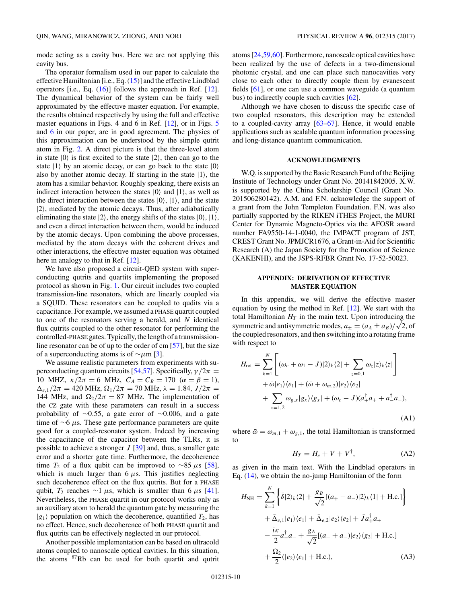<span id="page-9-0"></span>mode acting as a cavity bus. Here we are not applying this cavity bus.

The operator formalism used in our paper to calculate the effective Hamiltonian [i.e., Eq. [\(15\)](#page-3-0)] and the effective Lindblad operators [i.e., Eq. [\(16\)](#page-3-0)] follows the approach in Ref. [\[12\]](#page-10-0). The dynamical behavior of the system can be fairly well approximated by the effective master equation. For example, the results obtained respectively by using the full and effective master equations in Figs. 4 and 6 in Ref. [\[12\]](#page-10-0), or in Figs. [5](#page-7-0) and [6](#page-7-0) in our paper, are in good agreement. The physics of this approximation can be understood by the simple qutrit atom in Fig. [2.](#page-2-0) A direct picture is that the three-level atom in state  $|0\rangle$  is first excited to the state  $|2\rangle$ , then can go to the state  $|1\rangle$  by an atomic decay, or can go back to the state  $|0\rangle$ also by another atomic decay. If starting in the state  $|1\rangle$ , the atom has a similar behavior. Roughly speaking, there exists an indirect interaction between the states  $|0\rangle$  and  $|1\rangle$ , as well as the direct interaction between the states  $|0\rangle$ ,  $|1\rangle$ , and the state  $|2\rangle$ , mediated by the atomic decays. Thus, after adiabatically eliminating the state  $|2\rangle$ , the energy shifts of the states  $|0\rangle, |1\rangle,$ and even a direct interaction between them, would be induced by the atomic decays. Upon combining the above processes, mediated by the atom decays with the coherent drives and other interactions, the effective master equation was obtained here in analogy to that in Ref. [\[12\]](#page-10-0).

We have also proposed a circuit-QED system with superconducting qutrits and quartits implementing the proposed protocol as shown in Fig. [1.](#page-1-0) Our circuit includes two coupled transmission-line resonators, which are linearly coupled via a SQUID. These resonators can be coupled to qudits via a capacitance. For example, we assumed a PHASE quartit coupled to one of the resonators serving a herald, and *N* identical flux qutrits coupled to the other resonator for performing the controlled-PHASE gates. Typically, the length of a transmissionline resonator can be of up to the order of cm [\[57\]](#page-12-0), but the size of a superconducting atoms is of ∼*μ*m [\[3\]](#page-10-0).

We assume realistic parameters from experiments with su-perconducting quantum circuits [\[54,57\]](#page-12-0). Specifically,  $\gamma/2\pi$  = 10 MHZ,  $\kappa/2\pi = 6$  MHz,  $C_A = C_B = 170$  ( $\alpha = \beta = 1$ ),  $\Delta_{e,1}/2\pi = 420$  MHz,  $\Omega_1/2\pi = 70$  MHz,  $\lambda = 1.84$ ,  $J/2\pi =$ 144 MHz, and  $\Omega_2/2\pi = 87$  MHz. The implementation of the CZ gate with these parameters can result in a success probability of ∼0*.*55, a gate error of ∼0*.*006, and a gate time of ∼6 *μ*s. These gate performance parameters are quite good for a coupled-resonator system. Indeed by increasing the capacitance of the capacitor between the TLRs, it is possible to achieve a stronger *J* [\[39\]](#page-11-0) and, thus, a smaller gate error and a shorter gate time. Furthermore, the decoherence time  $T_2$  of a flux qubit can be improved to ~85  $\mu$ s [\[58\]](#page-12-0), which is much larger than  $6 \mu s$ . This justifies neglecting such decoherence effect on the flux qutrits. But for a PHASE qubit, *T*<sub>2</sub> reaches ∼1  $\mu$ s, which is smaller than 6  $\mu$ s [\[41\]](#page-11-0). Nevertheless, the PHASE quartit in our protocol works only as an auxiliary atom to herald the quantum gate by measuring the  $|g_1\rangle$  population on which the decoherence, quantified  $T_2$ , has no effect. Hence, such decoherence of both PHASE quartit and flux qutrits can be effectively neglected in our protocol.

Another possible implementation can be based on ultracold atoms coupled to nanoscale optical cavities. In this situation, the atoms  $87Rb$  can be used for both quartit and qutrit atoms [\[24,](#page-11-0)[59,60\]](#page-12-0). Furthermore, nanoscale optical cavities have been realized by the use of defects in a two-dimensional photonic crystal, and one can place such nanocavities very close to each other to directly couple them by evanescent fields [\[61\]](#page-12-0), or one can use a common waveguide (a quantum bus) to indirectly couple such cavities [\[62\]](#page-12-0).

Although we have chosen to discuss the specific case of two coupled resonators, this description may be extended to a coupled-cavity array [\[63–67\]](#page-12-0). Hence, it would enable applications such as scalable quantum information processing and long-distance quantum communication.

## **ACKNOWLEDGMENTS**

W.Q. is supported by the Basic Research Fund of the Beijing Institute of Technology under Grant No. 20141842005. X.W. is supported by the China Scholarship Council (Grant No. 201506280142). A.M. and F.N. acknowledge the support of a grant from the John Templeton Foundation. F.N. was also partially supported by the RIKEN iTHES Project, the MURI Center for Dynamic Magneto-Optics via the AFOSR award number FA9550-14-1-0040, the IMPACT program of JST, CREST Grant No. JPMJCR1676, a Grant-in-Aid for Scientific Research (A) the Japan Society for the Promotion of Science (KAKENHI), and the JSPS-RFBR Grant No. 17-52-50023.

## **APPENDIX: DERIVATION OF EFFECTIVE MASTER EQUATION**

In this appendix, we will derive the effective master equation by using the method in Ref. [\[12\]](#page-10-0). We start with the total Hamiltonian  $H_T$  in the main text. Upon introducing the symmetric and antisymmetric modes,  $a_{\pm} = (a_A \pm a_B)/\sqrt{2}$ , of the coupled resonators, and then switching into a rotating frame with respect to

$$
H_{\rm rot} = \sum_{k=1}^{N} \left[ (\omega_c + \omega_1 - J)|2\rangle_k \langle 2| + \sum_{z=0,1} \omega_z |z\rangle_k \langle z| + \bar{\omega} |e_1\rangle \langle e_1| + (\bar{\omega} + \omega_{m,2}) |e_2\rangle \langle e_2| + \sum_{x=1,2} \omega_{g,x} |g_x\rangle \langle g_x| + (\omega_c - J)(a_+^{\dagger} a_+ + a_-^{\dagger} a_-), \tag{A1}
$$

where  $\bar{\omega} = \omega_{m,1} + \omega_{g,1}$ , the total Hamiltonian is transformed to

$$
H_T = H_e + V + V^{\dagger}, \tag{A2}
$$

as given in the main text. With the Lindblad operators in Eq. [\(14\)](#page-3-0), we obtain the no-jump Hamiltonian of the form

$$
H_{\rm NH} = \sum_{k=1}^{N} \left\{ \bar{\delta} |2\rangle_k \langle 2| + \frac{g_B}{\sqrt{2}} [(a_+ - a_-)|2\rangle_k \langle 1| + \text{H.c.}] \right\} + \bar{\Delta}_{e,1} |e_1\rangle \langle e_1| + \bar{\Delta}_{e,2} |e_2\rangle \langle e_2| + \bar{J} a_+^\dagger a_+ - \frac{i\kappa}{2} a_-^\dagger a_- + \frac{g_A}{\sqrt{2}} [(a_+ + a_-)|e_2\rangle \langle g_2| + \text{H.c.}] + \frac{\Omega_2}{2} (|e_2\rangle \langle e_1| + \text{H.c.}), \tag{A3}
$$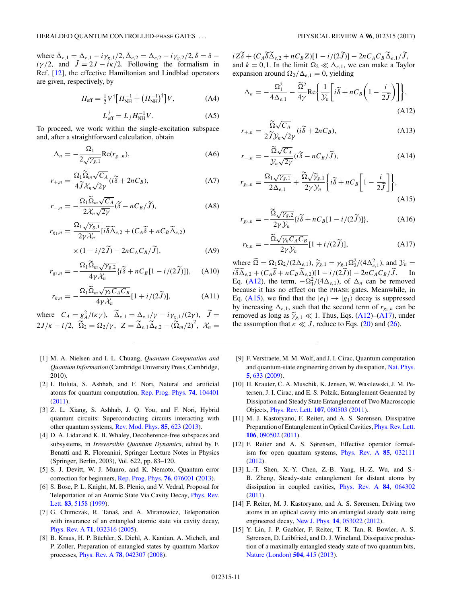<span id="page-10-0"></span>where  $\bar{\Delta}_{e,1} = \Delta_{e,1} - i \gamma_{g,1}/2$ ,  $\bar{\Delta}_{e,2} = \Delta_{e,2} - i \gamma_{g,2}/2$ ,  $\bar{\delta} = \delta$ *iγ/*2, and  $\bar{J} = 2J - i\kappa/2$ . Following the formalism in Ref. [12], the effective Hamiltonian and Lindblad operators are given, respectively, by

$$
H_{\rm eff} = \frac{1}{2} V^{\dagger} \left[ H_{\rm NH}^{-1} + \left( H_{\rm NH}^{-1} \right)^{\dagger} \right] V, \tag{A4}
$$

$$
L_{\text{eff}}^j = L_j H_{\text{NH}}^{-1} V. \tag{A5}
$$

To proceed, we work within the single-excitation subspace and, after a straightforward calculation, obtain

$$
\Delta_n = -\frac{\Omega_1}{2\sqrt{\gamma_{g,1}}} \text{Re}(r_{g_1,n}),\tag{A6}
$$

$$
r_{+,n} = \frac{\Omega_1 \widetilde{\Omega}_m \sqrt{C_A}}{4 \widetilde{J} \mathcal{X}_n \sqrt{2\gamma}} (i \widetilde{\delta} + 2nC_B), \tag{A7}
$$

$$
r_{-,n} = -\frac{\Omega_1 \widetilde{\Omega}_m \sqrt{C_A}}{2\mathcal{X}_n \sqrt{2\gamma}} (\widetilde{\delta} - nC_B/\widetilde{J}), \tag{A8}
$$

$$
r_{g_1,n} = \frac{\Omega_1 \sqrt{\gamma_{g,1}}}{2\gamma \mathcal{X}_n} [i\widetilde{\delta} \widetilde{\Delta}_{e,2} + (C_A \widetilde{\delta} + nC_B \widetilde{\Delta}_{e,2})
$$

$$
\times (1 - i/2\tilde{J}) - 2nC_A C_B/\tilde{J}, \tag{A9}
$$

$$
r_{g_2,n} = -\frac{\Omega_1 \widetilde{\Omega}_m \sqrt{\gamma_{g,2}}}{4\gamma \mathcal{X}_n} \{i\widetilde{\delta} + nC_B[1 - i/(2\widetilde{J})]\}, \quad \text{(A10)}
$$

$$
r_{k,n} = -\frac{\Omega_1 \widetilde{\Omega}_m \sqrt{\gamma_k C_A C_B}}{4\gamma \mathcal{X}_n} [1 + i/(2\widetilde{J})], \tag{A11}
$$

where  $C_A = \frac{g_A^2}{(\kappa \gamma)}$ ,  $\tilde{\Delta}_{e,1} = \frac{\Delta_{e,1}}{\gamma} - i \gamma_{g,1} / (2 \gamma)$ ,  $\tilde{J} =$  $2J/\kappa - i/2$ ,  $\widetilde{\Omega}_2 = \Omega_2/\gamma$ ,  $Z = \widetilde{\Delta}_{e,1}\widetilde{\Delta}_{e,2} - (\widetilde{\Omega}_m/2)^2$ ,  $\mathcal{X}_n =$ 

- [1] M. A. Nielsen and I. L. Chuang, *Quantum Computation and Quantum Information* (Cambridge University Press, Cambridge, 2010).
- [2] I. Buluta, S. Ashhab, and F. Nori, Natural and artificial atoms for quantum computation, [Rep. Prog. Phys.](https://doi.org/10.1088/0034-4885/74/10/104401) **[74](https://doi.org/10.1088/0034-4885/74/10/104401)**, [104401](https://doi.org/10.1088/0034-4885/74/10/104401) [\(2011\)](https://doi.org/10.1088/0034-4885/74/10/104401).
- [3] Z. L. Xiang, S. Ashhab, J. Q. You, and F. Nori, Hybrid quantum circuits: Superconducting circuits interacting with other quantum systems, [Rev. Mod. Phys.](https://doi.org/10.1103/RevModPhys.85.623) **[85](https://doi.org/10.1103/RevModPhys.85.623)**, [623](https://doi.org/10.1103/RevModPhys.85.623) [\(2013\)](https://doi.org/10.1103/RevModPhys.85.623).
- [4] D. A. Lidar and K. B. Whaley, Decoherence-free subspaces and subsystems, in *Irreversible Quantum Dynamics*, edited by F. Benatti and R. Floreanini, Springer Lecture Notes in Physics (Springer, Berlin, 2003), Vol. 622, pp. 83–120.
- [5] S. J. Devitt, W. J. Munro, and K. Nemoto, Quantum error correction for beginners, [Rep. Prog. Phys.](https://doi.org/10.1088/0034-4885/76/7/076001) **[76](https://doi.org/10.1088/0034-4885/76/7/076001)**, [076001](https://doi.org/10.1088/0034-4885/76/7/076001) [\(2013\)](https://doi.org/10.1088/0034-4885/76/7/076001).
- [6] S. Bose, P. L. Knight, M. B. Plenio, and V. Vedral, Proposal for [Teleportation of an Atomic State Via Cavity Decay,](https://doi.org/10.1103/PhysRevLett.83.5158) Phys. Rev. Lett. **[83](https://doi.org/10.1103/PhysRevLett.83.5158)**, [5158](https://doi.org/10.1103/PhysRevLett.83.5158) [\(1999\)](https://doi.org/10.1103/PhysRevLett.83.5158).
- [7] G. Chimczak, R. Tanaś, and A. Miranowicz, Teleportation with insurance of an entangled atomic state via cavity decay, [Phys. Rev. A](https://doi.org/10.1103/PhysRevA.71.032316) **[71](https://doi.org/10.1103/PhysRevA.71.032316)**, [032316](https://doi.org/10.1103/PhysRevA.71.032316) [\(2005\)](https://doi.org/10.1103/PhysRevA.71.032316).
- [8] B. Kraus, H. P. Büchler, S. Diehl, A. Kantian, A. Micheli, and P. Zoller, Preparation of entangled states by quantum Markov processes, [Phys. Rev. A](https://doi.org/10.1103/PhysRevA.78.042307) **[78](https://doi.org/10.1103/PhysRevA.78.042307)**, [042307](https://doi.org/10.1103/PhysRevA.78.042307) [\(2008\)](https://doi.org/10.1103/PhysRevA.78.042307).

 $iZ\delta + (C_A\delta\Delta_{e,2} + nC_BZ)[1 - i/(2J)] - 2nC_AC_B\Delta_{e,1}/J$ and  $k = 0, 1$ . In the limit  $\Omega_2 \ll \Delta_{e,1}$ , we can make a Taylor expansion around  $\Omega_2/\Delta_{e,1} = 0$ , yielding

$$
\Delta_n = -\frac{\Omega_1^2}{4\Delta_{e,1}} - \frac{\tilde{\Omega}^2}{4\gamma} \text{Re} \bigg\{ \frac{1}{\mathcal{Y}_n} \bigg[ i\tilde{\delta} + nC_B \bigg( 1 - \frac{i}{2\tilde{J}} \bigg) \bigg] \bigg\},\tag{A12}
$$

$$
r_{+,n} = \frac{\tilde{\Omega}\sqrt{C_A}}{2\tilde{J}\mathcal{Y}_n\sqrt{2\gamma}} (i\tilde{\delta} + 2nC_B),
$$
 (A13)

$$
r_{-,n} = -\frac{\widetilde{\Omega}\sqrt{C_A}}{\mathcal{Y}_n\sqrt{2\gamma}}(i\widetilde{\delta} - nC_B/\widetilde{J}),
$$
 (A14)

$$
r_{g_1,n} = \frac{\Omega_1 \sqrt{\gamma_{g,1}}}{2\Delta_{e,1}} + \frac{\widetilde{\Omega} \sqrt{\widetilde{\gamma}_{g,1}}}{2\gamma \mathcal{Y}_n} \left\{ i\widetilde{\delta} + nC_B \left[ 1 - \frac{i}{2\widetilde{J}} \right] \right\},\tag{A15}
$$

$$
r_{g_2,n} = -\frac{\widetilde{\Omega}\sqrt{\gamma_{g,2}}}{2\gamma \mathcal{Y}_n} \{i\widetilde{\delta} + nC_B[1 - i/(2\widetilde{J})]\},\tag{A16}
$$

$$
r_{k,n} = -\frac{\widetilde{\Omega}\sqrt{\gamma_k C_A C_B}}{2\gamma \mathcal{Y}_n} [1 + i/(2\widetilde{J})], \tag{A17}
$$

where  $\widetilde{\Omega} = \Omega_1 \Omega_2 / (2 \Delta_{e,1}), \widetilde{\gamma}_{g,1} = \gamma_{g,1} \Omega_2^2 / (4 \Delta_{e,1}^2),$  and  $\mathcal{Y}_n = \widetilde{\gamma}_{g,n}$  $i\delta\Delta_{e,2} + (C_A\delta + nC_B\Delta_{e,2})[1 - i/(2J)] - 2nC_AC_B/J$  $i\delta\Delta_{e,2} + (C_A\delta + nC_B\Delta_{e,2})[1 - i/(2J)] - 2nC_AC_B/J$ . In Eq. (A12), the term,  $-\Omega_1^2/(4\Delta_{e,1})$ , of  $\Delta_n$  can be removed because it has no effect on the PHASE gates. Meanwhile, in Eq. (A15), we find that the  $|e_1\rangle \rightarrow |g_1\rangle$  decay is suppressed by increasing  $\Delta_{e,1}$ , such that the second term of  $r_{g_1,n}$  can be removed as long as  $\widetilde{\gamma}_{g,1} \ll 1$ . Thus, Eqs. (A12)–(A17), under the assumption that  $\kappa \ll J$ , reduce to Eqs. [\(20\)](#page-4-0) and [\(26\)](#page-4-0).

- [9] F. Verstraete, M. M. Wolf, and J. I. Cirac, Quantum computation and quantum-state engineering driven by dissipation, [Nat. Phys.](https://doi.org/10.1038/nphys1342) **[5](https://doi.org/10.1038/nphys1342)**, [633](https://doi.org/10.1038/nphys1342) [\(2009\)](https://doi.org/10.1038/nphys1342).
- [10] H. Krauter, C. A. Muschik, K. Jensen, W. Wasilewski, J. M. Petersen, J. I. Cirac, and E. S. Polzik, Entanglement Generated by Dissipation and Steady State Entanglement of Two Macroscopic Objects, [Phys. Rev. Lett.](https://doi.org/10.1103/PhysRevLett.107.080503) **[107](https://doi.org/10.1103/PhysRevLett.107.080503)**, [080503](https://doi.org/10.1103/PhysRevLett.107.080503) [\(2011\)](https://doi.org/10.1103/PhysRevLett.107.080503).
- [11] M. J. Kastoryano, F. Reiter, and A. S. Sørensen, Dissipative Preparation of Entanglement in Optical Cavities, [Phys. Rev. Lett.](https://doi.org/10.1103/PhysRevLett.106.090502) **[106](https://doi.org/10.1103/PhysRevLett.106.090502)**, [090502](https://doi.org/10.1103/PhysRevLett.106.090502) [\(2011\)](https://doi.org/10.1103/PhysRevLett.106.090502).
- [12] F. Reiter and A. S. Sørensen, Effective operator formalism for open quantum systems, [Phys. Rev. A](https://doi.org/10.1103/PhysRevA.85.032111) **[85](https://doi.org/10.1103/PhysRevA.85.032111)**, [032111](https://doi.org/10.1103/PhysRevA.85.032111) [\(2012\)](https://doi.org/10.1103/PhysRevA.85.032111).
- [13] L.-T. Shen, X.-Y. Chen, Z.-B. Yang, H.-Z. Wu, and S.- B. Zheng, Steady-state entanglement for distant atoms by dissipation in coupled cavities, [Phys. Rev. A](https://doi.org/10.1103/PhysRevA.84.064302) **[84](https://doi.org/10.1103/PhysRevA.84.064302)**, [064302](https://doi.org/10.1103/PhysRevA.84.064302) [\(2011\)](https://doi.org/10.1103/PhysRevA.84.064302).
- [14] F. Reiter, M. J. Kastoryano, and A. S. Sørensen, Driving two atoms in an optical cavity into an entangled steady state using engineered decay, [New J. Phys.](https://doi.org/10.1088/1367-2630/14/5/053022) **[14](https://doi.org/10.1088/1367-2630/14/5/053022)**, [053022](https://doi.org/10.1088/1367-2630/14/5/053022) [\(2012\)](https://doi.org/10.1088/1367-2630/14/5/053022).
- [15] Y. Lin, J. P. Gaebler, F. Reiter, T. R. Tan, R. Bowler, A. S. Sørensen, D. Leibfried, and D. J. Wineland, Dissipative production of a maximally entangled steady state of two quantum bits, [Nature \(London\)](https://doi.org/10.1038/nature12801) **[504](https://doi.org/10.1038/nature12801)**, [415](https://doi.org/10.1038/nature12801) [\(2013\)](https://doi.org/10.1038/nature12801).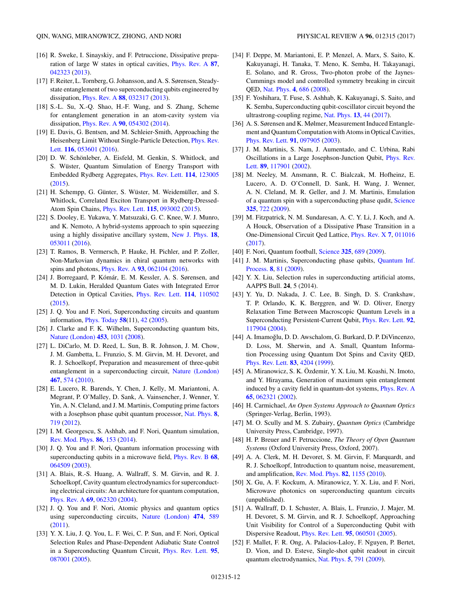- <span id="page-11-0"></span>[16] R. Sweke, I. Sinayskiy, and F. Petruccione, Dissipative preparation of large W states in optical cavities, [Phys. Rev. A](https://doi.org/10.1103/PhysRevA.87.042323) **[87](https://doi.org/10.1103/PhysRevA.87.042323)**, [042323](https://doi.org/10.1103/PhysRevA.87.042323) [\(2013\)](https://doi.org/10.1103/PhysRevA.87.042323).
- [17] F. Reiter, L. Tornberg, G. Johansson, and A. S. Sørensen, Steadystate entanglement of two superconducting qubits engineered by dissipation, [Phys. Rev. A](https://doi.org/10.1103/PhysRevA.88.032317) **[88](https://doi.org/10.1103/PhysRevA.88.032317)**, [032317](https://doi.org/10.1103/PhysRevA.88.032317) [\(2013\)](https://doi.org/10.1103/PhysRevA.88.032317).
- [18] S.-L. Su, X.-Q. Shao, H.-F. Wang, and S. Zhang, Scheme for entanglement generation in an atom-cavity system via dissipation, [Phys. Rev. A](https://doi.org/10.1103/PhysRevA.90.054302) **[90](https://doi.org/10.1103/PhysRevA.90.054302)**, [054302](https://doi.org/10.1103/PhysRevA.90.054302) [\(2014\)](https://doi.org/10.1103/PhysRevA.90.054302).
- [19] E. Davis, G. Bentsen, and M. Schleier-Smith, Approaching the [Heisenberg Limit Without Single-Particle Detection,](https://doi.org/10.1103/PhysRevLett.116.053601) Phys. Rev. Lett. **[116](https://doi.org/10.1103/PhysRevLett.116.053601)**, [053601](https://doi.org/10.1103/PhysRevLett.116.053601) [\(2016\)](https://doi.org/10.1103/PhysRevLett.116.053601).
- [20] D. W. Schönleber, A. Eisfeld, M. Genkin, S. Whitlock, and S. Wüster, Quantum Simulation of Energy Transport with Embedded Rydberg Aggregates, [Phys. Rev. Lett.](https://doi.org/10.1103/PhysRevLett.114.123005) **[114](https://doi.org/10.1103/PhysRevLett.114.123005)**, [123005](https://doi.org/10.1103/PhysRevLett.114.123005) [\(2015\)](https://doi.org/10.1103/PhysRevLett.114.123005).
- [21] H. Schempp, G. Günter, S. Wüster, M. Weidemüller, and S. Whitlock, Correlated Exciton Transport in Rydberg-Dressed-Atom Spin Chains, [Phys. Rev. Lett.](https://doi.org/10.1103/PhysRevLett.115.093002) **[115](https://doi.org/10.1103/PhysRevLett.115.093002)**, [093002](https://doi.org/10.1103/PhysRevLett.115.093002) [\(2015\)](https://doi.org/10.1103/PhysRevLett.115.093002).
- [22] S. Dooley, E. Yukawa, Y. Matsuzaki, G. C. Knee, W. J. Munro, and K. Nemoto, A hybrid-systems approach to spin squeezing using a highly dissipative ancillary system, [New J. Phys.](https://doi.org/10.1088/1367-2630/18/5/053011) **[18](https://doi.org/10.1088/1367-2630/18/5/053011)**, [053011](https://doi.org/10.1088/1367-2630/18/5/053011) [\(2016\)](https://doi.org/10.1088/1367-2630/18/5/053011).
- [23] T. Ramos, B. Vermersch, P. Hauke, H. Pichler, and P. Zoller, Non-Markovian dynamics in chiral quantum networks with spins and photons, [Phys. Rev. A](https://doi.org/10.1103/PhysRevA.93.062104) **[93](https://doi.org/10.1103/PhysRevA.93.062104)**, [062104](https://doi.org/10.1103/PhysRevA.93.062104) [\(2016\)](https://doi.org/10.1103/PhysRevA.93.062104).
- [24] J. Borregaard, P. Kómár, E. M. Kessler, A. S. Sørensen, and M. D. Lukin, Heralded Quantum Gates with Integrated Error Detection in Optical Cavities, [Phys. Rev. Lett.](https://doi.org/10.1103/PhysRevLett.114.110502) **[114](https://doi.org/10.1103/PhysRevLett.114.110502)**, [110502](https://doi.org/10.1103/PhysRevLett.114.110502) [\(2015\)](https://doi.org/10.1103/PhysRevLett.114.110502).
- [25] J. Q. You and F. Nori, Superconducting circuits and quantum information, [Phys. Today](https://doi.org/10.1063/1.2155757) **[58](https://doi.org/10.1063/1.2155757)**(11), [42](https://doi.org/10.1063/1.2155757) [\(2005\)](https://doi.org/10.1063/1.2155757).
- [26] J. Clarke and F. K. Wilhelm, Superconducting quantum bits, [Nature \(London\)](https://doi.org/10.1038/nature07128) **[453](https://doi.org/10.1038/nature07128)**, [1031](https://doi.org/10.1038/nature07128) [\(2008\)](https://doi.org/10.1038/nature07128).
- [27] L. DiCarlo, M. D. Reed, L. Sun, B. R. Johnson, J. M. Chow, J. M. Gambetta, L. Frunzio, S. M. Girvin, M. H. Devoret, and R. J. Schoelkopf, Preparation and measurement of three-qubit entanglement in a superconducting circuit, [Nature \(London\)](https://doi.org/10.1038/nature09416) **[467](https://doi.org/10.1038/nature09416)**, [574](https://doi.org/10.1038/nature09416) [\(2010\)](https://doi.org/10.1038/nature09416).
- [28] E. Lucero, R. Barends, Y. Chen, J. Kelly, M. Mariantoni, A. Megrant, P. O'Malley, D. Sank, A. Vainsencher, J. Wenner, Y. Yin, A. N. Cleland, and J. M. Martinis, Computing prime factors with a Josephson phase qubit quantum processor, [Nat. Phys.](https://doi.org/10.1038/nphys2385) **[8](https://doi.org/10.1038/nphys2385)**, [719](https://doi.org/10.1038/nphys2385) [\(2012\)](https://doi.org/10.1038/nphys2385).
- [29] I. M. Georgescu, S. Ashhab, and F. Nori, Quantum simulation, [Rev. Mod. Phys.](https://doi.org/10.1103/RevModPhys.86.153) **[86](https://doi.org/10.1103/RevModPhys.86.153)**, [153](https://doi.org/10.1103/RevModPhys.86.153) [\(2014\)](https://doi.org/10.1103/RevModPhys.86.153).
- [30] J. Q. You and F. Nori, Quantum information processing with superconducting qubits in a microwave field, [Phys. Rev. B](https://doi.org/10.1103/PhysRevB.68.064509) **[68](https://doi.org/10.1103/PhysRevB.68.064509)**, [064509](https://doi.org/10.1103/PhysRevB.68.064509) [\(2003\)](https://doi.org/10.1103/PhysRevB.68.064509).
- [31] A. Blais, R.-S. Huang, A. Wallraff, S. M. Girvin, and R. J. Schoelkopf, Cavity quantum electrodynamics for superconducting electrical circuits: An architecture for quantum computation, [Phys. Rev. A](https://doi.org/10.1103/PhysRevA.69.062320) **[69](https://doi.org/10.1103/PhysRevA.69.062320)**, [062320](https://doi.org/10.1103/PhysRevA.69.062320) [\(2004\)](https://doi.org/10.1103/PhysRevA.69.062320).
- [32] J. Q. You and F. Nori, Atomic physics and quantum optics using superconducting circuits, [Nature \(London\)](https://doi.org/10.1038/nature10122) **[474](https://doi.org/10.1038/nature10122)**, [589](https://doi.org/10.1038/nature10122) [\(2011\)](https://doi.org/10.1038/nature10122).
- [33] Y. X. Liu, J. Q. You, L. F. Wei, C. P. Sun, and F. Nori, Optical Selection Rules and Phase-Dependent Adiabatic State Control in a Superconducting Quantum Circuit, [Phys. Rev. Lett.](https://doi.org/10.1103/PhysRevLett.95.087001) **[95](https://doi.org/10.1103/PhysRevLett.95.087001)**, [087001](https://doi.org/10.1103/PhysRevLett.95.087001) [\(2005\)](https://doi.org/10.1103/PhysRevLett.95.087001).
- [34] F. Deppe, M. Mariantoni, E. P. Menzel, A. Marx, S. Saito, K. Kakuyanagi, H. Tanaka, T. Meno, K. Semba, H. Takayanagi, E. Solano, and R. Gross, Two-photon probe of the Jaynes-Cummings model and controlled symmetry breaking in circuit QED, [Nat. Phys.](https://doi.org/10.1038/nphys1016) **[4](https://doi.org/10.1038/nphys1016)**, [686](https://doi.org/10.1038/nphys1016) [\(2008\)](https://doi.org/10.1038/nphys1016).
- [35] F. Yoshihara, T. Fuse, S. Ashhab, K. Kakuyanagi, S. Saito, and K. Semba, Superconducting qubit-coscillator circuit beyond the ultrastrong-coupling regime, [Nat. Phys.](https://doi.org/10.1038/nphys3906) **[13](https://doi.org/10.1038/nphys3906)**, [44](https://doi.org/10.1038/nphys3906) [\(2017\)](https://doi.org/10.1038/nphys3906).
- [36] A. S. Sørensen and K. Mølmer, Measurement Induced Entanglement and Quantum Computation with Atoms in Optical Cavities, [Phys. Rev. Lett.](https://doi.org/10.1103/PhysRevLett.91.097905) **[91](https://doi.org/10.1103/PhysRevLett.91.097905)**, [097905](https://doi.org/10.1103/PhysRevLett.91.097905) [\(2003\)](https://doi.org/10.1103/PhysRevLett.91.097905).
- [37] J. M. Martinis, S. Nam, J. Aumentado, and C. Urbina, Rabi [Oscillations in a Large Josephson-Junction Qubit,](https://doi.org/10.1103/PhysRevLett.89.117901) Phys. Rev. Lett. **[89](https://doi.org/10.1103/PhysRevLett.89.117901)**, [117901](https://doi.org/10.1103/PhysRevLett.89.117901) [\(2002\)](https://doi.org/10.1103/PhysRevLett.89.117901).
- [38] M. Neeley, M. Ansmann, R. C. Bialczak, M. Hofheinz, E. Lucero, A. D. O'Connell, D. Sank, H. Wang, J. Wenner, A. N. Cleland, M. R. Geller, and J. M. Martinis, Emulation of a quantum spin with a superconducting phase qudit, [Science](https://doi.org/10.1126/science.1173440) **[325](https://doi.org/10.1126/science.1173440)**, [722](https://doi.org/10.1126/science.1173440) [\(2009\)](https://doi.org/10.1126/science.1173440).
- [39] M. Fitzpatrick, N. M. Sundaresan, A. C. Y. Li, J. Koch, and A. A Houck, Observation of a Dissipative Phase Transition in a One-Dimensional Circuit Qed Lattice, [Phys. Rev. X](https://doi.org/10.1103/PhysRevX.7.011016) **[7](https://doi.org/10.1103/PhysRevX.7.011016)**, [011016](https://doi.org/10.1103/PhysRevX.7.011016) [\(2017\)](https://doi.org/10.1103/PhysRevX.7.011016).
- [40] F. Nori, Quantum football, [Science](https://doi.org/10.1126/science.1178828) **[325](https://doi.org/10.1126/science.1178828)**, [689](https://doi.org/10.1126/science.1178828) [\(2009\)](https://doi.org/10.1126/science.1178828).
- [41] [J. M. Martinis, Superconducting phase qubits,](https://doi.org/10.1007/s11128-009-0105-1) Quantum Inf. Process. **[8](https://doi.org/10.1007/s11128-009-0105-1)**, [81](https://doi.org/10.1007/s11128-009-0105-1) [\(2009\)](https://doi.org/10.1007/s11128-009-0105-1).
- [42] Y. X. Liu, Selection rules in superconducting artificial atoms, AAPPS Bull. **24**, 5 (2014).
- [43] Y. Yu, D. Nakada, J. C. Lee, B. Singh, D. S. Crankshaw, T. P. Orlando, K. K. Berggren, and W. D. Oliver, Energy Relaxation Time Between Macroscopic Quantum Levels in a Superconducting Persistent-Current Qubit, [Phys. Rev. Lett.](https://doi.org/10.1103/PhysRevLett.92.117904) **[92](https://doi.org/10.1103/PhysRevLett.92.117904)**, [117904](https://doi.org/10.1103/PhysRevLett.92.117904) [\(2004\)](https://doi.org/10.1103/PhysRevLett.92.117904).
- [44] A. Imamoğlu, D. D. Awschalom, G. Burkard, D. P. DiVincenzo, D. Loss, M. Sherwin, and A. Small, Quantum Information Processing using Quantum Dot Spins and Cavity QED, [Phys. Rev. Lett.](https://doi.org/10.1103/PhysRevLett.83.4204) **[83](https://doi.org/10.1103/PhysRevLett.83.4204)**, [4204](https://doi.org/10.1103/PhysRevLett.83.4204) [\(1999\)](https://doi.org/10.1103/PhysRevLett.83.4204).
- [45] A. Miranowicz, S. K. Özdemir, Y. X. Liu, M. Koashi, N. Imoto, and Y. Hirayama, Generation of maximum spin entanglement induced by a cavity field in quantum-dot systems, [Phys. Rev. A](https://doi.org/10.1103/PhysRevA.65.062321) **[65](https://doi.org/10.1103/PhysRevA.65.062321)**, [062321](https://doi.org/10.1103/PhysRevA.65.062321) [\(2002\)](https://doi.org/10.1103/PhysRevA.65.062321).
- [46] H. Carmichael, *An Open Systems Approach to Quantum Optics* (Springer-Verlag, Berlin, 1993).
- [47] M. O. Scully and M. S. Zubairy, *Quantum Optics* (Cambridge University Press, Cambridge, 1997).
- [48] H. P. Breuer and F. Petruccione, *The Theory of Open Quantum Systems* (Oxford University Press, Oxford, 2007).
- [49] A. A. Clerk, M. H. Devoret, S. M. Girvin, F. Marquardt, and R. J. Schoelkopf, Introduction to quantum noise, measurement, and amplification, [Rev. Mod. Phys.](https://doi.org/10.1103/RevModPhys.82.1155) **[82](https://doi.org/10.1103/RevModPhys.82.1155)**, [1155](https://doi.org/10.1103/RevModPhys.82.1155) [\(2010\)](https://doi.org/10.1103/RevModPhys.82.1155).
- [50] X. Gu, A. F. Kockum, A. Miranowicz, Y. X. Liu, and F. Nori, Microwave photonics on superconducting quantum circuits (unpublished).
- [51] A. Wallraff, D. I. Schuster, A. Blais, L. Frunzio, J. Majer, M. H. Devoret, S. M. Girvin, and R. J. Schoelkopf, Approaching Unit Visibility for Control of a Superconducting Qubit with Dispersive Readout, [Phys. Rev. Lett.](https://doi.org/10.1103/PhysRevLett.95.060501) **[95](https://doi.org/10.1103/PhysRevLett.95.060501)**, [060501](https://doi.org/10.1103/PhysRevLett.95.060501) [\(2005\)](https://doi.org/10.1103/PhysRevLett.95.060501).
- [52] F. Mallet, F. R. Ong, A. Palacios-Laloy, F. Nguyen, P. Bertet, D. Vion, and D. Esteve, Single-shot qubit readout in circuit quantum electrodynamics, [Nat. Phys.](https://doi.org/10.1038/nphys1400) **[5](https://doi.org/10.1038/nphys1400)**, [791](https://doi.org/10.1038/nphys1400) [\(2009\)](https://doi.org/10.1038/nphys1400).